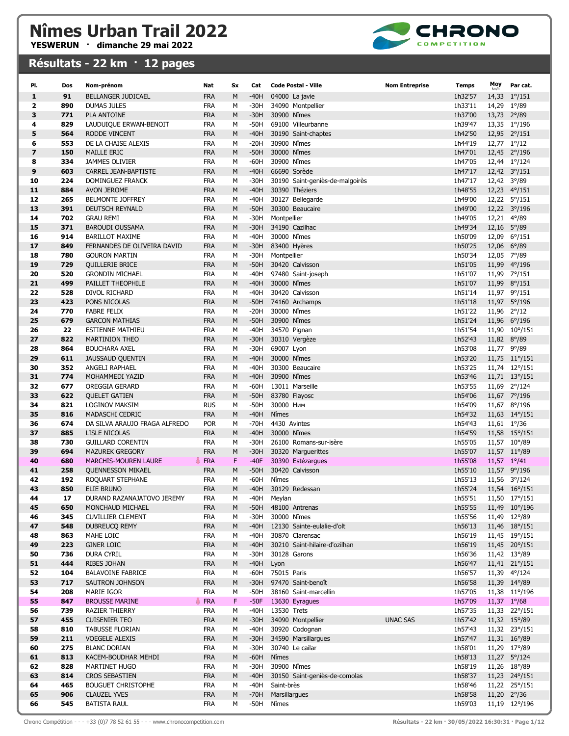

| PI.                     | Dos        | Nom-prénom                                  | Nat                      | Sx     | Cat              | <b>Code Postal - Ville</b>                   | <b>Nom Entreprise</b> | <b>Temps</b>       | Moy                        | Par cat.                      |
|-------------------------|------------|---------------------------------------------|--------------------------|--------|------------------|----------------------------------------------|-----------------------|--------------------|----------------------------|-------------------------------|
| $\mathbf{1}$            | 91         | <b>BELLANGER JUDICAEL</b>                   | <b>FRA</b>               | M      | $-40H$           | 04000 La javie                               |                       | 1h32'57            |                            | 14,33 1%/151                  |
| $\overline{2}$          | 890        | <b>DUMAS JULES</b>                          | <b>FRA</b>               | М      | $-30H$           | 34090 Montpellier                            |                       | 1h33'11            | 14,29 1°/89                |                               |
| 3                       | 771        | <b>PLA ANTOINE</b>                          | <b>FRA</b>               | M      | $-30H$           | 30900 Nîmes                                  |                       | 1h37'00            | 13,73 2°/89                |                               |
| 4                       | 829        | LAUDUIQUE ERWAN-BENOIT                      | <b>FRA</b>               | M      | $-50H$           | 69100 Villeurbanne                           |                       | 1h39'47            |                            | 13,35 1°/196                  |
| 5                       | 564        | <b>RODDE VINCENT</b>                        | <b>FRA</b>               | M      | $-40H$           | 30190 Saint-chaptes                          |                       | 1h42'50            |                            | 12,95 2°/151                  |
| 6                       | 553        | DE LA CHAISE ALEXIS                         | <b>FRA</b>               | М      | $-20H$           | 30900 Nîmes                                  |                       | 1h44'19            | 12,77 1°/12                |                               |
| $\overline{\mathbf{z}}$ | 150        | <b>MAILLE ERIC</b>                          | <b>FRA</b>               | M      | $-50H$           | 30000 Nîmes                                  |                       | 1h47'01            |                            | 12,45 2°/196                  |
| 8                       | 334        | <b>JAMMES OLIVIER</b>                       | <b>FRA</b>               | M      | $-60H$           | 30900 Nîmes                                  |                       | 1h47'05            |                            | 12,44 1°/124                  |
| 9                       | 603        | CARREL JEAN-BAPTISTE                        | <b>FRA</b>               | M      | $-40H$           | 66690 Sorède                                 |                       | 1h47'17            |                            | 12,42 3°/151                  |
| 10                      | 224        | DOMINGUEZ FRANCK                            | <b>FRA</b>               | M      | $-30H$           | 30190 Saint-geniès-de-malgoirès              |                       | 1h47'17            | 12,42 3°/89                |                               |
| 11                      | 884        | <b>AVON JEROME</b>                          | <b>FRA</b>               | M      | $-40H$           | 30390 Théziers                               |                       | 1h48'55            |                            | 12,23 4°/151                  |
| 12                      | 265        | <b>BELMONTE JOFFREY</b>                     | <b>FRA</b>               | М      | $-40H$           | 30127 Bellegarde                             |                       | 1h49'00            |                            | 12,22 5°/151                  |
| 13                      | 391        | <b>DEUTSCH REYNALD</b>                      | <b>FRA</b>               | M      | $-50H$           | 30300 Beaucaire                              |                       | 1h49'00            |                            | 12,22 3°/196                  |
| 14                      | 702        | <b>GRAU REMI</b>                            | <b>FRA</b>               | M      | $-30H$           | Montpellier                                  |                       | 1h49'05            | 12,21 4°/89                |                               |
| 15                      | 371        | <b>BAROUDI OUSSAMA</b>                      | <b>FRA</b>               | M      | $-30H$           | 34190 Cazilhac                               |                       | 1h49'34            | 12,16 5°/89                |                               |
| 16                      | 914        | <b>BARILLOT MAXIME</b>                      | <b>FRA</b>               | M      | $-40H$           | 30000 Nîmes                                  |                       | 1h50'09            |                            | 12,09 6°/151                  |
| 17                      | 849        | FERNANDES DE OLIVEIRA DAVID                 | <b>FRA</b>               | M      | $-30H$           | 83400 Hyères                                 |                       | 1h50'25            | 12,06 6°/89                |                               |
| 18                      | 780        | <b>GOURON MARTIN</b>                        | <b>FRA</b>               | М      | $-30H$           | Montpellier                                  |                       | 1h50'34            | 12,05 7°/89                |                               |
| 19                      | 729        | <b>QUILLERIE BRICE</b>                      | <b>FRA</b>               | M      | $-50H$           | 30420 Calvisson                              |                       | 1h51'05            | 11,99                      | $4^{\circ}/196$               |
| 20<br>21                | 520<br>499 | <b>GRONDIN MICHAEL</b><br>PAILLET THEOPHILE | <b>FRA</b><br><b>FRA</b> | M<br>M | $-40H$<br>$-40H$ | 97480 Saint-joseph<br>30000 Nîmes            |                       | 1h51'07<br>1h51'07 |                            | 11,99 7°/151<br>11,99 8°/151  |
| 22                      | 528        | DIVOL RICHARD                               | <b>FRA</b>               | M      | $-40H$           | 30420 Calvisson                              |                       | 1h51'14            |                            | 11,97 9°/151                  |
| 23                      | 423        | PONS NICOLAS                                | <b>FRA</b>               | M      | $-50H$           | 74160 Archamps                               |                       | 1h51'18            |                            | 11,97 5°/196                  |
| 24                      | 770        | <b>FABRE FELIX</b>                          | <b>FRA</b>               | M      | $-20H$           | 30000 Nîmes                                  |                       | 1h51'22            | 11,96 2°/12                |                               |
| 25                      | 679        | <b>GARCON MATHIAS</b>                       | <b>FRA</b>               | M      | $-50H$           | 30900 Nîmes                                  |                       | 1h51'24            |                            | 11,96 6°/196                  |
| 26                      | 22         | <b>ESTIENNE MATHIEU</b>                     | <b>FRA</b>               | м      | $-40H$           | 34570 Pignan                                 |                       | 1h51'54            |                            | 11,90 10°/151                 |
| 27                      | 822        | <b>MARTINION THEO</b>                       | <b>FRA</b>               | M      | $-30H$           | 30310 Vergèze                                |                       | 1h52'43            | 11,82 8°/89                |                               |
| 28                      | 864        | <b>BOUCHARA AXEL</b>                        | <b>FRA</b>               | M      | -30H             | 69007 Lyon                                   |                       | 1h53'08            | 11,77 9°/89                |                               |
| 29                      | 611        | <b>JAUSSAUD QUENTIN</b>                     | <b>FRA</b>               | M      | $-40H$           | 30000 Nîmes                                  |                       | 1h53'20            |                            | 11,75 11°/151                 |
| 30                      | 352        | ANGELI RAPHAEL                              | <b>FRA</b>               | M      | $-40H$           | 30300 Beaucaire                              |                       | 1h53'25            |                            | 11,74 12°/151                 |
| 31                      | 774        | MOHAMMEDI YAZID                             | <b>FRA</b>               | M      | $-40H$           | 30900 Nîmes                                  |                       | 1h53'46            |                            | 11,71 13°/151                 |
| 32                      | 677        | OREGGIA GERARD                              | <b>FRA</b>               | M      | $-60H$           | 13011 Marseille                              |                       | 1h53'55            |                            | 11,69 2°/124                  |
| 33                      | 622        | <b>QUELET GATIEN</b>                        | <b>FRA</b>               | M      | $-50H$           | 83780 Flayosc                                |                       | 1h54'06            |                            | 11,67 7°/196                  |
| 34                      | 821        | LOGINOV MAKSIM                              | <b>RUS</b>               | M      | $-50H$           | 30000 Ним                                    |                       | 1h54'09            |                            | 11,67 8°/196                  |
| 35                      | 816        | MADASCHI CEDRIC                             | <b>FRA</b>               | M      | $-40H$           | Nîmes                                        |                       | 1h54'32            |                            | 11,63 14°/151                 |
| 36                      | 674        | DA SILVA ARAUJO FRAGA ALFREDO               | <b>POR</b>               | М      | $-70H$           | 4430 Avintes                                 |                       | 1h54'43            | $11,61 \quad 1^{\circ}/36$ |                               |
| 37                      | 885        | LISLE NICOLAS                               | <b>FRA</b>               | M      | $-40H$           | 30000 Nîmes                                  |                       | 1h54'59            |                            | 11,58 15°/151                 |
| 38                      | 730        | <b>GUILLARD CORENTIN</b>                    | <b>FRA</b>               | M      | $-30H$           | 26100 Romans-sur-isère                       |                       | 1h55'05            |                            | 11,57 10°/89                  |
| 39                      | 694        | <b>MAZUREK GREGORY</b>                      | <b>FRA</b>               | M      | $-30H$           | 30320 Marguerittes                           |                       | 1h55'07            |                            | 11,57 11°/89                  |
| 40                      | 680        | <b>MARCHIS-MOUREN LAURE</b>                 | FRA                      | F      | $-40F$           | 30390 Estézargues                            |                       | 1h55'08            | 11,57 1°/41                |                               |
| 41                      | 258        | <b>QUENNESSON MIKAEL</b>                    | <b>FRA</b>               | M      | $-50H$           | 30420 Calvisson                              |                       | 1h55'10            |                            | 11,57 9°/196                  |
| 42<br>43                | 192<br>850 | ROQUART STEPHANE<br>ELIE BRUNO              | <b>FRA</b><br><b>FRA</b> | M<br>M | -60H<br>$-40H$   | Nîmes<br>30129 Redessan                      |                       | 1h55'13<br>1h55'24 |                            | 11,56 3°/124<br>11,54 16°/151 |
| 44                      | 17         | DURAND RAZANAJATOVO JEREMY                  | <b>FRA</b>               | м      | -40H             | Meylan                                       |                       | 1h55'51            |                            | 11,50 17°/151                 |
| 45                      | 650        | MONCHAUD MICHAEL                            | <b>FRA</b>               | M      | $-50H$           | 48100 Antrenas                               |                       | 1h55'55            |                            | 11,49 10°/196                 |
| 46                      | 345        | <b>CUVILLIER CLEMENT</b>                    | <b>FRA</b>               | М      | -30H             | 30000 Nîmes                                  |                       | 1h55'56            |                            | 11,49 12°/89                  |
| 47                      | 548        | DUBREUCQ REMY                               | <b>FRA</b>               | M      | $-40H$           | 12130 Sainte-eulalie-d'olt                   |                       | 1h56'13            |                            | 11,46 18°/151                 |
| 48                      | 863        | MAHE LOIC                                   | <b>FRA</b>               | М      | -40H             | 30870 Clarensac                              |                       | 1h56'19            |                            | 11,45 19°/151                 |
| 49                      | 223        | <b>GINER LOIC</b>                           | <b>FRA</b>               | M      | $-40H$           | 30210 Saint-hilaire-d'ozilhan                |                       | 1h56'19            |                            | 11,45 20°/151                 |
| 50                      | 736        | DURA CYRIL                                  | <b>FRA</b>               | М      | -30H             | 30128 Garons                                 |                       | 1h56'36            |                            | 11,42 13°/89                  |
| 51                      | 444        | RIBES JOHAN                                 | <b>FRA</b>               | M      | $-40H$           | Lyon                                         |                       | 1h56'47            |                            | 11,41 21°/151                 |
| 52                      | 104        | <b>BALAVOINE FABRICE</b>                    | FRA                      | М      | -60H             | 75015 Paris                                  |                       | 1h56'57            |                            | 11,39 4°/124                  |
| 53                      | 717        | SAUTRON JOHNSON                             | <b>FRA</b>               | M      | $-30H$           | 97470 Saint-benoît                           |                       | 1h56'58            |                            | 11,39 14°/89                  |
| 54                      | 208        | MARIE IGOR                                  | FRA                      | М      | -50H             | 38160 Saint-marcellin                        |                       | 1h57'05            |                            | 11,38 11°/196                 |
| 55                      | 847        | <b>BROUSSE MARINE</b>                       | <b>FRA</b>               | F      | $-50F$           | 13630 Eyragues                               |                       | 1h57'09            | 11,37 1%68                 |                               |
| 56                      | 739        | RAZIER THIERRY                              | FRA                      | м      | -40H             | 13530 Trets                                  |                       | 1h57'35            |                            | 11,33 22°/151                 |
| 57                      | 455        | <b>CUISENIER TEO</b>                        | <b>FRA</b>               | M      | $-30H$           | 34090 Montpellier                            | <b>UNAC SAS</b>       | 1h57'42            |                            | 11,32 15°/89                  |
| 58                      | 810        | <b>TABUSSE FLORIAN</b>                      | FRA                      | М      | -40H             | 30920 Codognan                               |                       | 1h57'43            |                            | 11,32 23°/151                 |
| 59                      | 211        | <b>VOEGELE ALEXIS</b>                       | <b>FRA</b>               | M      | $-30H$           | 34590 Marsillargues                          |                       | 1h57'47            |                            | 11,31 16°/89                  |
| 60                      | 275        | <b>BLANC DORIAN</b>                         | FRA                      | М      | -30H             | 30740 Le cailar                              |                       | 1h58'01            |                            | 11,29 17°/89                  |
| 61                      | 813        | KACEM-BOUDHAR MEHDI                         | <b>FRA</b>               | M      | $-60H$           | Nîmes                                        |                       | 1h58'13            |                            | 11,27 5°/124                  |
| 62<br>63                | 828<br>814 | MARTINET HUGO<br><b>CROS SEBASTIEN</b>      | FRA<br><b>FRA</b>        | М<br>M | -30H<br>-40H     | 30900 Nîmes<br>30150 Saint-geniès-de-comolas |                       | 1h58'19<br>1h58'37 |                            | 11,26 18°/89<br>11,23 24°/151 |
| 64                      | 465        | <b>BOUGUET CHRISTOPHE</b>                   | FRA                      | М      | -40H             | Saint-brès                                   |                       | 1h58'46            |                            | 11,22 25°/151                 |
| 65                      | 906        | <b>CLAUZEL YVES</b>                         | <b>FRA</b>               | M      | $-70H$           | Marsillargues                                |                       | 1h58'58            |                            | 11,20 2°/36                   |
| 66                      | 545        | <b>BATISTA RAUL</b>                         | FRA                      | м      | -50H             | Nîmes                                        |                       | 1h59'03            |                            | 11,19 12°/196                 |
|                         |            |                                             |                          |        |                  |                                              |                       |                    |                            |                               |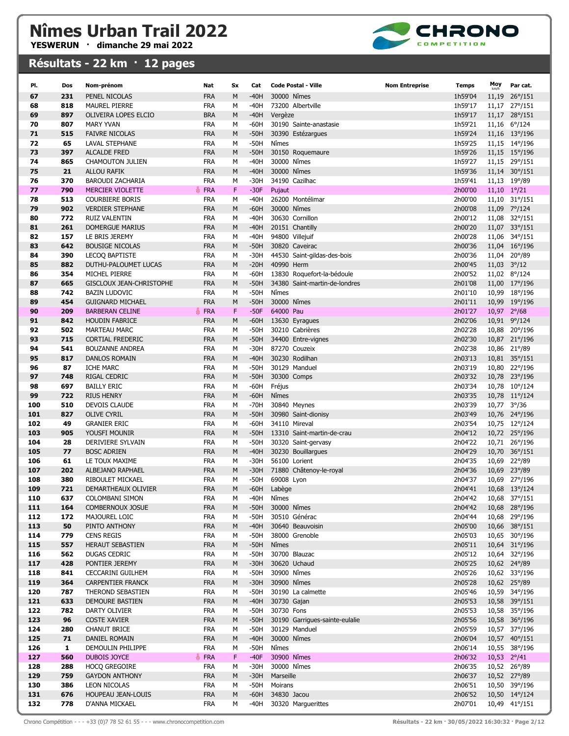

| PI.        | Dos        | Nom-prénom                               | Nat                      | Sx           | Cat              | Code Postal - Ville                          | <b>Nom Entreprise</b><br>Temps | Moy                    | Par cat.                       |
|------------|------------|------------------------------------------|--------------------------|--------------|------------------|----------------------------------------------|--------------------------------|------------------------|--------------------------------|
| 67         | 231        | PENEL NICOLAS                            | <b>FRA</b>               | M            | $-40H$           | 30000 Nîmes                                  | 1h59'04                        | 11,19                  | $26^{\circ}/151$               |
| 68         | 818        | <b>MAUREL PIERRE</b>                     | <b>FRA</b>               | M            | $-40H$           | 73200 Albertville                            | 1h59'17                        |                        | 11,17 27°/151                  |
| 69         | 897        | OLIVEIRA LOPES ELCIO                     | <b>BRA</b>               | M            | $-40H$           | Vergèze                                      | 1h59'17                        |                        | 11,17 28°/151                  |
| 70         | 807        | <b>MARY YVAN</b>                         | <b>FRA</b>               | M            | $-60H$           | 30190 Sainte-anastasie                       | 1h59'21                        |                        | 11,16 6°/124                   |
| 71         | 515        | <b>FAIVRE NICOLAS</b>                    | <b>FRA</b>               | M            | $-50H$           | 30390 Estézargues                            | 1h59'24                        |                        | 11,16 13°/196                  |
| 72         | 65         | <b>LAVAL STEPHANE</b>                    | <b>FRA</b>               | M            | $-50H$           | Nîmes                                        | 1h59'25                        |                        | 11,15 14°/196                  |
| 73         | 397        | <b>ALCALDE FRED</b>                      | <b>FRA</b>               | M            | $-50H$           | 30150 Roquemaure                             | 1h59'26                        |                        | 11,15 15°/196                  |
| 74         | 865        | <b>CHAMOUTON JULIEN</b>                  | <b>FRA</b>               | M            | $-40H$           | 30000 Nîmes                                  | 1h59'27                        |                        | 11,15 29°/151                  |
| 75         | 21         | <b>ALLOU RAFIK</b>                       | <b>FRA</b>               | M            | $-40H$           | 30000 Nîmes                                  | 1h59'36                        |                        | 11,14 30°/151                  |
| 76         | 370        | <b>BAROUDI ZACHARIA</b>                  | <b>FRA</b>               | М            | $-30H$           | 34190 Cazilhac                               | 1h59'41                        |                        | 11,13 19°/89                   |
| 77         | 790        | <b>MERCIER VIOLETTE</b>                  | <b>FRA</b>               | $\mathsf{F}$ | $-30F$           | Pujaut                                       | 2h00'00                        | $11,10$ $1^{\circ}/21$ |                                |
| 78         | 513        | <b>COURBIERE BORIS</b>                   | <b>FRA</b>               | М            | $-40H$           | 26200 Montélimar                             | 2h00'00                        |                        | 11,10 31°/151                  |
| 79         | 902        | <b>VERDIER STEPHANE</b>                  | <b>FRA</b>               | M            | $-60H$           | 30000 Nîmes                                  | 2h00'08                        |                        | 11,09 7°/124                   |
| 80<br>81   | 772<br>261 | <b>RUIZ VALENTIN</b><br>DOMERGUE MARIUS  | <b>FRA</b><br><b>FRA</b> | M<br>M       | $-40H$<br>$-40H$ | 30630 Cornillon<br>20151 Chantilly           | 2h00'12<br>2h00'20             |                        | 11,08 32°/151<br>11,07 33°/151 |
| 82         | 157        | LE BRIS JEREMY                           | <b>FRA</b>               | M            | $-40H$           | 94800 Villejuif                              | 2h00'28                        |                        | 11,06 34°/151                  |
| 83         | 642        | <b>BOUSIGE NICOLAS</b>                   | <b>FRA</b>               | M            | $-50H$           | 30820 Caveirac                               | 2h00'36                        |                        | 11,04 16°/196                  |
| 84         | 390        | <b>LECOQ BAPTISTE</b>                    | <b>FRA</b>               | М            | $-30H$           | 44530 Saint-gildas-des-bois                  | 2h00'36                        |                        | 11,04 20°/89                   |
| 85         | 882        | DUTHU-PALOUMET LUCAS                     | <b>FRA</b>               | M            | $-20H$           | 40990 Herm                                   | 2h00'45                        |                        | $11,03$ $3^{\circ}/12$         |
| 86         | 354        | MICHEL PIERRE                            | <b>FRA</b>               | M            | $-60H$           | 13830 Roquefort-la-bédoule                   | 2h00'52                        |                        | 11,02 8°/124                   |
| 87         | 665        | GISCLOUX JEAN-CHRISTOPHE                 | <b>FRA</b>               | M            | $-50H$           | 34380 Saint-martin-de-londres                | 2h01'08                        |                        | 11,00 17°/196                  |
| 88         | 742        | <b>BAZIN LUDOVIC</b>                     | <b>FRA</b>               | M            | -50H             | Nîmes                                        | 2h01'10                        |                        | 10,99 18°/196                  |
| 89         | 454        | <b>GUIGNARD MICHAEL</b>                  | <b>FRA</b>               | M            | $-50H$           | 30000 Nîmes                                  | 2h01'11                        |                        | 10,99 19°/196                  |
| 90         | 209        | <b>BARBERAN CELINE</b>                   | FRA                      | $\mathsf{F}$ | $-50F$           | 64000 Pau                                    | 2h01'27                        |                        | 10,97 2°/68                    |
| 91         | 842        | <b>HOUDIN FABRICE</b>                    | <b>FRA</b>               | M            | $-60H$           | 13630 Eyragues                               | 2h02'06                        |                        | 10,91 9°/124                   |
| 92         | 502        | <b>MARTEAU MARC</b>                      | <b>FRA</b>               | M            | $-50H$           | 30210 Cabrières                              | 2h02'28                        |                        | 10,88 20°/196                  |
| 93         | 715        | <b>CORTIAL FREDERIC</b>                  | <b>FRA</b>               | M            | $-50H$           | 34400 Entre-vignes                           | 2h02'30                        |                        | 10,87 21°/196                  |
| 94         | 541        | <b>BOUZANNE ANDREA</b>                   | <b>FRA</b>               | M            | $-30H$           | 87270 Couzeix                                | 2h02'38                        |                        | 10,86 21°/89                   |
| 95<br>96   | 817<br>87  | <b>DANLOS ROMAIN</b><br><b>ICHE MARC</b> | <b>FRA</b><br><b>FRA</b> | M<br>М       | $-40H$<br>$-50H$ | 30230 Rodilhan<br>30129 Manduel              | 2h03'13<br>2h03'19             |                        | 10,81 35°/151<br>10,80 22°/196 |
| 97         | 748        | RIGAL CEDRIC                             | <b>FRA</b>               | M            | $-50H$           | 30300 Comps                                  | 2h03'32                        |                        | 10,78 23°/196                  |
| 98         | 697        | <b>BAILLY ERIC</b>                       | <b>FRA</b>               | M            | $-60H$           | Fréjus                                       | 2h03'34                        |                        | 10,78 10°/124                  |
| 99         | 722        | <b>RIUS HENRY</b>                        | <b>FRA</b>               | M            | $-60H$           | Nîmes                                        | 2h03'35                        |                        | 10,78 11°/124                  |
| 100        | 510        | <b>DEVOIS CLAUDE</b>                     | <b>FRA</b>               | М            | $-70H$           | 30840 Meynes                                 | 2h03'39                        |                        | 10,77 3°/36                    |
| 101        | 827        | <b>OLIVE CYRIL</b>                       | <b>FRA</b>               | M            | $-50H$           | 30980 Saint-dionisy                          | 2h03'49                        |                        | 10,76 24°/196                  |
| 102        | 49         | <b>GRANIER ERIC</b>                      | <b>FRA</b>               | М            | $-60H$           | 34110 Mireval                                | 2h03'54                        |                        | 10,75 12°/124                  |
| 103        | 905        | YOUSFI MOUNIR                            | <b>FRA</b>               | M            | $-50H$           | 13310 Saint-martin-de-crau                   | 2h04'12                        |                        | 10,72 25°/196                  |
| 104        | 28         | DERIVIERE SYLVAIN                        | <b>FRA</b>               | M            | $-50H$           | 30320 Saint-gervasy                          | 2h04'22                        |                        | 10,71 26°/196                  |
| 105        | 77         | <b>BOSC ADRIEN</b>                       | <b>FRA</b>               | M            | $-40H$           | 30230 Bouillargues                           | 2h04'29                        |                        | 10,70 36°/151                  |
| 106        | 61         | LE TOUX MAXIME                           | <b>FRA</b>               | М            | $-30H$           | 56100 Lorient                                | 2h04'35                        |                        | 10,69 22°/89                   |
| 107        | 202        | ALBEJANO RAPHAEL                         | <b>FRA</b>               | M            | $-30H$           | 71880 Châtenoy-le-royal                      | 2h04'36                        |                        | 10,69 23°/89                   |
| 108<br>109 | 380<br>721 | RIBOULET MICKAEL<br>DEMARTHEAUX OLIVIER  | <b>FRA</b>               | M<br>M       | $-50H$<br>$-60H$ | 69008 Lyon                                   | 2h04'37<br>2h04'41             |                        | 10,69 27°/196                  |
| 110        | 637        | <b>COLOMBANI SIMON</b>                   | <b>FRA</b><br><b>FRA</b> | М            | -40H             | Labège<br>Nîmes                              | 2h04'42                        |                        | 10,68 13°/124<br>10,68 37°/151 |
| 111        | 164        | COMBERNOUX JOSUE                         | <b>FRA</b>               | M            | $-50H$           | 30000 Nîmes                                  | 2h04'42                        |                        | 10,68 28°/196                  |
| 112        | 172        | MAJOUREL LOIC                            | <b>FRA</b>               | М            | $-50H$           | 30510 Générac                                | 2h04'44                        |                        | 10,68 29°/196                  |
| 113        | 50         | PINTO ANTHONY                            | <b>FRA</b>               | M            | $-40H$           | 30640 Beauvoisin                             | 2h05'00                        |                        | 10,66 38°/151                  |
| 114        | 779        | <b>CENS REGIS</b>                        | <b>FRA</b>               | М            | -50H             | 38000 Grenoble                               | 2h05'03                        |                        | 10,65 30°/196                  |
| 115        | 557        | HERAUT SEBASTIEN                         | <b>FRA</b>               | M            | $-50H$           | Nîmes                                        | 2h05'11                        |                        | 10,64 31°/196                  |
| 116        | 562        | <b>DUGAS CEDRIC</b>                      | FRA                      | М            | -50H             | 30700 Blauzac                                | 2h05'12                        |                        | 10,64 32°/196                  |
| 117        | 428        | PONTIER JEREMY                           | <b>FRA</b>               | M            | $-30H$           | 30620 Uchaud                                 | 2h05'25                        |                        | 10,62 24°/89                   |
| 118        | 841        | <b>CECCARINI GUILHEM</b>                 | FRA                      | M            | $-50H$           | 30900 Nîmes                                  | 2h05'26                        |                        | 10,62 33°/196                  |
| 119        | 364        | <b>CARPENTIER FRANCK</b>                 | <b>FRA</b>               | M            | $-30H$           | 30900 Nîmes                                  | 2h05'28                        |                        | 10,62 25°/89                   |
| 120        | 787        | THEROND SEBASTIEN                        | FRA                      | М            | -50H             | 30190 La calmette                            | 2h05'46                        |                        | 10,59 34°/196                  |
| 121        | 633        | DEMOURE BASTIEN                          | <b>FRA</b>               | M            | $-40H$           | 30730 Gajan                                  | 2h05'53                        |                        | 10,58 39°/151                  |
| 122<br>123 | 782<br>96  | DARTY OLIVIER<br><b>COSTE XAVIER</b>     | FRA<br><b>FRA</b>        | М            | -50H<br>$-50H$   | 30730 Fons<br>30190 Garrigues-sainte-eulalie | 2h05'53<br>2h05'56             |                        | 10,58 35°/196<br>10,58 36°/196 |
| 124        | 280        | <b>CHANUT BRICE</b>                      | FRA                      | M<br>M       | -50H             | 30129 Manduel                                | 2h05'59                        |                        | 10,57 37°/196                  |
| 125        | 71         | DANIEL ROMAIN                            | <b>FRA</b>               | M            | $-40H$           | 30000 Nîmes                                  | 2h06'04                        |                        | 10,57 40°/151                  |
| 126        | 1          | DEMOULIN PHILIPPE                        | FRA                      | М            | $-50H$           | Nîmes                                        | 2h06'14                        |                        | 10,55 38°/196                  |
| 127        | 560        | DUBOIS JOYCE                             | FRA                      | $\mathsf F$  | $-40F$           | 30900 Nîmes                                  | 2h06'32                        |                        | 10,53 2°/41                    |
| 128        | 288        | <b>HOCQ GREGOIRE</b>                     | FRA                      | М            | -30H             | 30000 Nîmes                                  | 2h06'35                        |                        | 10,52 26°/89                   |
| 129        | 759        | <b>GAYDON ANTHONY</b>                    | <b>FRA</b>               | M            | $-30H$           | Marseille                                    | 2h06'37                        |                        | 10,52 27°/89                   |
| 130        | 386        | LEON NICOLAS                             | <b>FRA</b>               | М            | -50H             | Moirans                                      | 2h06'51                        |                        | 10,50 39°/196                  |
| 131        | 676        | HOUPEAU JEAN-LOUIS                       | <b>FRA</b>               | M            | $-60H$           | 34830 Jacou                                  | 2h06'52                        |                        | 10,50 14°/124                  |
| 132        | 778        | D'ANNA MICKAEL                           | <b>FRA</b>               | М            | -40H             | 30320 Marguerittes                           | 2h07'01                        |                        | 10,49 41°/151                  |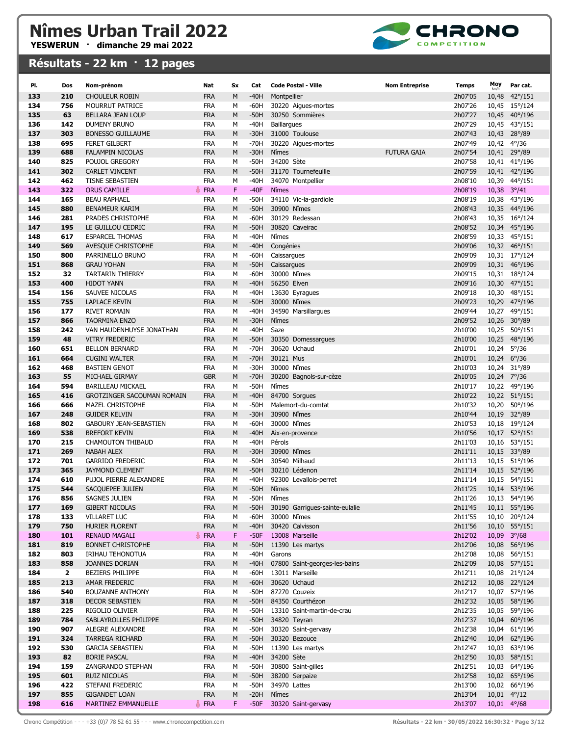

| PI.        | Dos          | Nom-prénom                                                   | Nat               | <b>Sx</b> | Cat              | <b>Code Postal - Ville</b>          | <b>Nom Entreprise</b> | <b>Temps</b>       | Moy         | Par cat.                       |
|------------|--------------|--------------------------------------------------------------|-------------------|-----------|------------------|-------------------------------------|-----------------------|--------------------|-------------|--------------------------------|
| 133        | 210          | <b>CHOULEUR ROBIN</b>                                        | <b>FRA</b>        | M         | $-40H$           | Montpellier                         |                       | 2h07'05            | 10,48       | $42^{\circ}/151$               |
| 134        | 756          | MOURRUT PATRICE                                              | <b>FRA</b>        | M         | $-60H$           | 30220 Aigues-mortes                 |                       | 2h07'26            |             | 10,45 15°/124                  |
| 135        | 63           | <b>BELLARA JEAN LOUP</b>                                     | <b>FRA</b>        | M         | $-50H$           | 30250 Sommières                     |                       | 2h07'27            |             | 10,45 40°/196                  |
| 136        | 142          | DUMENY BRUNO                                                 | FRA               | M         | $-40H$           | <b>Baillargues</b>                  |                       | 2h07'29            |             | 10,45 43°/151                  |
| 137        | 303          | <b>BONESSO GUILLAUME</b>                                     | <b>FRA</b>        | M         | $-30H$           | 31000 Toulouse                      |                       | 2h07'43            |             | 10,43 28°/89                   |
| 138        | 695          | <b>FERET GILBERT</b>                                         | FRA               | M         | $-70H$           | 30220 Aigues-mortes                 |                       | 2h07'49            |             | 10,42 4°/36                    |
| 139        | 688          | <b>FALAMPIN NICOLAS</b>                                      | <b>FRA</b>        | M         | $-30H$           | Nîmes                               | <b>FUTURA GAIA</b>    | 2h07'54            |             | 10,41 29°/89                   |
| 140        | 825          | POUJOL GREGORY                                               | FRA               | м         | $-50H$           | 34200 Sète                          |                       | 2h07'58            |             | 10,41 41°/196                  |
| 141        | 302          | <b>CARLET VINCENT</b>                                        | <b>FRA</b>        | M         | $-50H$           | 31170 Tournefeuille                 |                       | 2h07'59            |             | 10,41 42°/196                  |
| 142        | 462          | <b>TISNE SEBASTIEN</b>                                       | <b>FRA</b>        | М         | $-40H$           | 34070 Montpellier                   |                       | 2h08'10            |             | 10,39 44°/151                  |
| 143        | 322          | <b>ORUS CAMILLE</b>                                          | FRA               | F         | $-40F$           | <b>N</b> îmes                       |                       | 2h08'19            |             | $10,38$ $3^{\circ}/41$         |
| 144        | 165          | <b>BEAU RAPHAEL</b>                                          | <b>FRA</b>        | М         | $-50H$           | 34110 Vic-la-gardiole               |                       | 2h08'19            |             | 10,38 43°/196                  |
| 145        | 880          | <b>BENAMEUR KARIM</b>                                        | <b>FRA</b>        | M         | $-50H$           | 30900 Nîmes                         |                       | 2h08'43            |             | 10,35 44°/196                  |
| 146        | 281          | PRADES CHRISTOPHE                                            | FRA               | M         | $-60H$           | 30129 Redessan                      |                       | 2h08'43            |             | 10,35 16°/124                  |
| 147        | 195          | LE GUILLOU CEDRIC                                            | <b>FRA</b>        | M         | $-50H$           | 30820 Caveirac                      |                       | 2h08'52            |             | 10,34 45°/196                  |
| 148        | 617          | <b>ESPARCEL THOMAS</b>                                       | <b>FRA</b>        | M         | $-40H$           | Nîmes                               |                       | 2h08'59            |             | 10,33 45°/151                  |
| 149        | 569          | AVESQUE CHRISTOPHE                                           | <b>FRA</b>        | M         | $-40H$           | Congénies                           |                       | 2h09'06            |             | 10,32 46°/151                  |
| 150        | 800          | PARRINELLO BRUNO                                             | <b>FRA</b>        | М         | -60H             | Caissargues                         |                       | 2h09'09            |             | 10,31 17°/124                  |
| 151        | 868          | <b>GRAU YOHAN</b>                                            | <b>FRA</b>        | M         | $-50H$           | Caissargues                         |                       | 2h09'09            |             | 10,31 46°/196                  |
| 152        | 32           | <b>TARTARIN THIERRY</b>                                      | FRA               | M         | $-60H$           | 30000 Nîmes                         |                       | 2h09'15            |             | 10,31 18°/124                  |
| 153        | 400          | <b>HIDOT YANN</b>                                            | <b>FRA</b>        | M         | $-40H$           | 56250 Elven                         |                       | 2h09'16            |             | 10,30 47°/151                  |
| 154        | 156          | SAUVEE NICOLAS                                               | <b>FRA</b>        | M         | $-40H$           | 13630 Eyragues                      |                       | 2h09'18            |             | 10,30 48°/151                  |
| 155        | 755          | <b>LAPLACE KEVIN</b>                                         | <b>FRA</b>        | M         | $-50H$           | 30000 Nîmes                         |                       | 2h09'23            |             | 10,29 47°/196                  |
| 156        | 177          | RIVET ROMAIN                                                 | FRA               | М         | $-40H$           | 34590 Marsillargues                 |                       | 2h09'44            |             | 10,27 49°/151                  |
| 157        | 866          | <b>TAORMINA ENZO</b>                                         | <b>FRA</b>        | M         | $-30H$           | Nîmes                               |                       | 2h09'52            |             | 10,26 30°/89                   |
| 158        | 242          | VAN HAUDENHUYSE JONATHAN                                     | <b>FRA</b>        | M         | $-40H$           | Saze                                |                       | 2h10'00            |             | 10,25 50°/151                  |
| 159        | 48           | <b>VITRY FREDERIC</b>                                        | <b>FRA</b>        | M         | $-50H$           | 30350 Domessargues                  |                       | 2h10'00            |             | 10,25 48°/196                  |
| 160        | 651          | <b>BELLON BERNARD</b>                                        | FRA               | M         | $-70H$           | 30620 Uchaud                        |                       | 2h10'01            |             | 10,24 5°/36                    |
| 161        | 664          | <b>CUGINI WALTER</b>                                         | <b>FRA</b>        | M         | $-70H$           | 30121 Mus                           |                       | 2h10'01            |             | 10,24 6°/36                    |
| 162        | 468          | <b>BASTIEN GENOT</b>                                         | FRA               | М         | $-30H$           | 30000 Nîmes                         |                       | 2h10'03            |             | 10,24 31°/89                   |
| 163        | 55           | MICHAEL GIRMAY                                               | <b>GBR</b>        | M         | $-70H$           | 30200 Bagnols-sur-cèze<br>Nîmes     |                       | 2h10'05            | 10,24 7°/36 |                                |
| 164        | 594          | <b>BARILLEAU MICKAEL</b>                                     | <b>FRA</b>        | M         | $-50H$           |                                     |                       | 2h10'17            |             | 10,22 49°/196                  |
| 165<br>166 | 416<br>666   | <b>GROTZINGER SACOUMAN ROMAIN</b><br><b>MAZEL CHRISTOPHE</b> | <b>FRA</b><br>FRA | M<br>M    | $-40H$<br>-50H   | 84700 Sorgues<br>Malemort-du-comtat |                       | 2h10'22<br>2h10'32 |             | 10,22 51°/151<br>10,20 50°/196 |
| 167        | 248          | <b>GUIDER KELVIN</b>                                         | <b>FRA</b>        | M         | $-30H$           | 30900 Nîmes                         |                       | 2h10'44            |             | 10,19 32°/89                   |
| 168        | 802          | <b>GABOURY JEAN-SEBASTIEN</b>                                | FRA               | М         | $-60H$           | 30000 Nîmes                         |                       | 2h10'53            |             | 10,18 19°/124                  |
| 169        | 538          | <b>BREFORT KEVIN</b>                                         | <b>FRA</b>        | M         | $-40H$           | Aix-en-provence                     |                       | 2h10'56            |             | 10,17 52°/151                  |
| 170        | 215          | <b>CHAMOUTON THIBAUD</b>                                     | FRA               | м         | $-40H$           | Pérols                              |                       | 2h11'03            |             | 10,16 53°/151                  |
| 171        | 269          | <b>NABAH ALEX</b>                                            | <b>FRA</b>        | M         | $-30H$           | 30900 Nîmes                         |                       | 2h11'11            |             | 10,15 33°/89                   |
| 172        | 701          | <b>GARRIDO FREDERIC</b>                                      | <b>FRA</b>        | M         | $-50H$           | 30540 Milhaud                       |                       | 2h11'13            |             | 10,15 51°/196                  |
| 173        | 365          | <b>JAYMOND CLEMENT</b>                                       | <b>FRA</b>        | M         | $-50H$           | 30210 Lédenon                       |                       | 2h11'14            |             | 10,15 52°/196                  |
| 174        | 610          | PUJOL PIERRE ALEXANDRE                                       | <b>FRA</b>        | M         | $-40H$           | 92300 Levallois-perret              |                       | 2h11'14            |             | 10,15 54°/151                  |
| 175        | 544          | SACQUEPEE JULIEN                                             | <b>FRA</b>        | M         | $-50H$           | Nîmes                               |                       | 2h11'25            |             | 10,14 53°/196                  |
| 176        | 856          | SAGNES JULIEN                                                | FRA               | М         | -50H             | Nîmes                               |                       | 2h11'26            |             | 10,13 54°/196                  |
| 177        | 169          | <b>GIBERT NICOLAS</b>                                        | <b>FRA</b>        | M         | $-50H$           | 30190 Garrigues-sainte-eulalie      |                       | 2h11'45            |             | 10,11 55°/196                  |
| 178        | 133          | <b>VILLARET LUC</b>                                          | <b>FRA</b>        | М         | $-60H$           | 30000 Nîmes                         |                       | 2h11'55            |             | 10,10 20°/124                  |
| 179        | 750          | HURIER FLORENT                                               | <b>FRA</b>        | M         | $-40H$           | 30420 Calvisson                     |                       | 2h11'56            |             | 10,10 55°/151                  |
| 180        | 101          | <b>RENAUD MAGALI</b>                                         | FRA               | F         | $-50F$           | 13008 Marseille                     |                       | 2h12'02            |             | 10,09 3°/68                    |
| 181        | 819          | <b>BONNET CHRISTOPHE</b>                                     | <b>FRA</b>        | M         | $-50H$           | 11390 Les martys                    |                       | 2h12'06            |             | 10,08 56°/196                  |
| 182        | 803          | IRIHAU TEHONOTUA                                             | FRA               | М         | -40H             | Garons                              |                       | 2h12'08            |             | 10,08 56°/151                  |
| 183        | 858          | <b>JOANNES DORIAN</b>                                        | <b>FRA</b>        | M         | $-40H$           | 07800 Saint-georges-les-bains       |                       | 2h12'09            |             | 10,08 57°/151                  |
| 184        | $\mathbf{2}$ | BEZIERS PHILIPPE                                             | FRA               | М         | $-60H$           | 13011 Marseille                     |                       | 2h12'11            |             | 10,08 21°/124                  |
| 185        | 213          | AMAR FREDERIC                                                | <b>FRA</b>        | M         | $-60H$           | 30620 Uchaud                        |                       | 2h12'12            |             | 10,08 22°/124                  |
| 186        | 540          | <b>BOUZANNE ANTHONY</b>                                      | <b>FRA</b>        | М         | -50H             | 87270 Couzeix                       |                       | 2h12'17            |             | 10,07 57°/196                  |
| 187        | 318          | <b>DECOR SEBASTIEN</b>                                       | <b>FRA</b>        | M         | $-50H$           | 84350 Courthézon                    |                       | 2h12'32            |             | 10,05 58°/196                  |
| 188        | 225          | RIGOLIO OLIVIER                                              | <b>FRA</b>        | М         | -50H             | 13310 Saint-martin-de-crau          |                       | 2h12'35            |             | 10,05 59°/196                  |
| 189        | 784          | SABLAYROLLES PHILIPPE                                        | <b>FRA</b>        | M         | $-50H$           | 34820 Teyran                        |                       | 2h12'37            |             | 10,04 60°/196                  |
| 190        | 907<br>324   | ALEGRE ALEXANDRE                                             | FRA<br><b>FRA</b> | M<br>M    | $-50H$           | 30320 Saint-gervasy                 |                       | 2h12'38            |             | 10,04 61°/196                  |
| 191        |              | <b>TARREGA RICHARD</b>                                       | FRA               |           | $-50H$<br>$-50H$ | 30320 Bezouce                       |                       | 2h12'40            |             | 10,04 62°/196                  |
| 192<br>193 | 530<br>82    | <b>GARCIA SEBASTIEN</b><br><b>BORIE PASCAL</b>               | <b>FRA</b>        | М<br>M    | $-40H$           | 11390 Les martys<br>34200 Sète      |                       | 2h12'47<br>2h12'50 |             | 10,03 63°/196<br>10,03 58°/151 |
| 194        | 159          | ZANGRANDO STEPHAN                                            | FRA               | М         | $-50H$           | 30800 Saint-gilles                  |                       | 2h12'51            |             | 10,03 64°/196                  |
| 195        | 601          | <b>RUIZ NICOLAS</b>                                          | <b>FRA</b>        | M         | $-50H$           | 38200 Serpaize                      |                       | 2h12'58            |             | 10,02 65°/196                  |
| 196        | 422          | STEFANI FREDERIC                                             | FRA               | М         | -50H             | 34970 Lattes                        |                       | 2h13'00            |             | 10,02 66°/196                  |
| 197        | 855          | <b>GIGANDET LOAN</b>                                         | <b>FRA</b>        | M         | $-20H$           | Nîmes                               |                       | 2h13'04            |             | $10,01$ $4^{\circ}/12$         |
| 198        | 616          | MARTINEZ EMMANUELLE                                          | FRA               | F         | $-50F$           | 30320 Saint-gervasy                 |                       | 2h13'07            |             | 10,01 4°/68                    |
|            |              |                                                              |                   |           |                  |                                     |                       |                    |             |                                |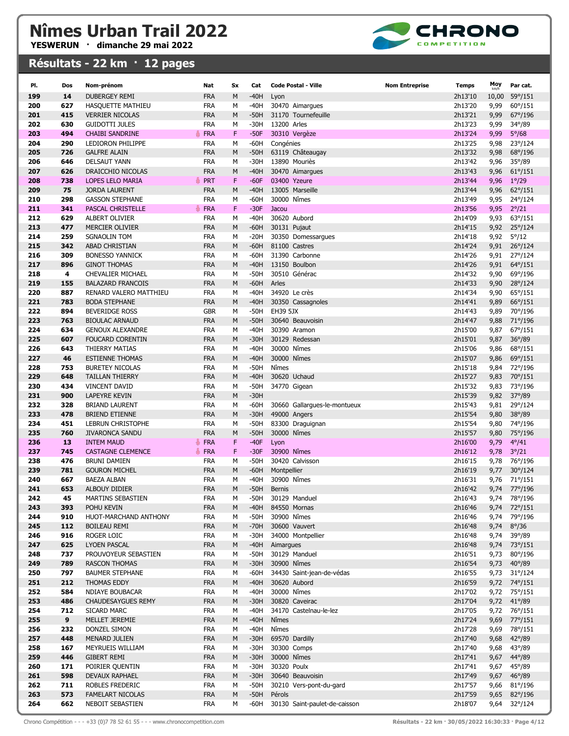

| PI.        | Dos        | Nom-prénom                                     | Nat                      | Sx     | Cat              | <b>Code Postal - Ville</b>     | <b>Nom Entreprise</b> | <b>Temps</b>       | Moy          | Par cat.                           |
|------------|------------|------------------------------------------------|--------------------------|--------|------------------|--------------------------------|-----------------------|--------------------|--------------|------------------------------------|
| 199        | 14         | <b>DUBERGEY REMI</b>                           | <b>FRA</b>               | M      | $-40H$           | Lyon                           |                       | 2h13'10            | 10,00        | 59°/151                            |
| 200        | 627        | HASQUETTE MATHIEU                              | <b>FRA</b>               | М      | -40H             | 30470 Aimarques                |                       | 2h13'20            | 9,99         | $60^{\circ}/151$                   |
| 201        | 415        | <b>VERRIER NICOLAS</b>                         | <b>FRA</b>               | M      | $-50H$           | 31170 Tournefeuille            |                       | 2h13'21            | 9,99         | 67°/196                            |
| 202        | 630        | <b>GUIDOTTI JULES</b>                          | <b>FRA</b>               | М      | -30H             | 13200 Arles                    |                       | 2h13'23            | 9,99         | 34°/89                             |
| 203        | 494        | <b>CHAIBI SANDRINE</b>                         | <b>FRA</b>               | F      | $-50F$           | 30310 Vergèze                  |                       | 2h13'24            | 9,99         | $5^{\circ}/68$                     |
| 204        | 290        | LEDIORON PHILIPPE                              | <b>FRA</b>               | M      | -60H             | Congénies                      |                       | 2h13'25            | 9,98         | 23°/124                            |
| 205        | 726        | <b>GALFRE ALAIN</b>                            | <b>FRA</b>               | M      | $-50H$           | 63119 Châteaugay               |                       | 2h13'32            | 9,98         | 68°/196                            |
| 206        | 646        | <b>DELSAUT YANN</b>                            | <b>FRA</b>               | М      | -30H             | 13890 Mouriès                  |                       | 2h13'42            | 9,96         | $35^{\circ}/89$                    |
| 207        | 626        | DRAICCHIO NICOLAS                              | <b>FRA</b>               | M      | $-40H$           | 30470 Aimargues                |                       | 2h13'43            | 9,96         | $61^{\circ}/151$                   |
| 208        | 738        | LOPES LELO MARIA                               | PRT                      | F      | $-60F$           | 03400 Yzeure                   |                       | 2h13'44            | 9,96         | $1^{\circ}/29$                     |
| 209        | 75         | <b>JORDA LAURENT</b>                           | <b>FRA</b>               | M      | -40H             | 13005 Marseille                |                       | 2h13'44            | 9,96         | $62^{\circ}/151$                   |
| 210        | 298        | <b>GASSON STEPHANE</b>                         | <b>FRA</b>               | М      | -60H             | 30000 Nîmes                    |                       | 2h13'49            | 9,95         | 24°/124                            |
| 211        | 341        | PASCAL CHRISTELLE                              | <b>FRA</b>               | F      | $-30F$           | Jacou                          |                       | 2h13'56            | 9,95         | $2^{\circ}/21$                     |
| 212        | 629        | ALBERT OLIVIER                                 | <b>FRA</b>               | M      | $-40H$           | 30620 Aubord                   |                       | 2h14'09            | 9,93         | $63^{\circ}/151$                   |
| 213        | 477        | <b>MERCIER OLIVIER</b>                         | <b>FRA</b>               | M      | $-60H$           | 30131 Pujaut                   |                       | 2h14'15            | 9,92         | $25^{\circ}/124$                   |
| 214        | 259        | <b>SGNAOLIN TOM</b>                            | <b>FRA</b>               | М      | $-20H$           | 30350 Domessargues             |                       | 2h14'18            | 9,92         | $5^{\circ}/12$                     |
| 215        | 342        | <b>ABAD CHRISTIAN</b>                          | <b>FRA</b>               | M      | $-60H$           | 81100 Castres                  |                       | 2h14'24            | 9,91         | $26^{\circ}/124$                   |
| 216        | 309        | <b>BONESSO YANNICK</b>                         | <b>FRA</b>               | М      | -60H             | 31390 Carbonne                 |                       | 2h14'26            | 9,91         | 27°/124                            |
| 217        | 896        | <b>GINOT THOMAS</b>                            | <b>FRA</b>               | M      | $-40H$           | 13150 Boulbon                  |                       | 2h14'26            | 9,91         | $64^{\circ}/151$                   |
| 218        | 4          | <b>CHEVALIER MICHAEL</b>                       | <b>FRA</b>               | M      | -50H             | 30510 Générac<br>Arles         |                       | 2h14'32            | 9,90         | 69°/196                            |
| 219<br>220 | 155<br>887 | <b>BALAZARD FRANCOIS</b>                       | <b>FRA</b><br><b>FRA</b> | M<br>M | $-60H$<br>$-40H$ | 34920 Le crès                  |                       | 2h14'33<br>2h14'34 | 9,90         | 28°/124<br>$65^{\circ}/151$        |
| 221        | 783        | RENARD VALERO MATTHIEU<br><b>BODA STEPHANE</b> | <b>FRA</b>               | M      | $-40H$           | 30350 Cassagnoles              |                       | 2h14'41            | 9,90<br>9,89 | $66^{\circ}/151$                   |
| 222        | 894        | <b>BEVERIDGE ROSS</b>                          | <b>GBR</b>               | M      | $-50H$           | EH39 5JX                       |                       | 2h14'43            | 9,89         | 70°/196                            |
| 223        | 763        | <b>BIOULAC ARNAUD</b>                          | <b>FRA</b>               | M      | $-50H$           | 30640 Beauvoisin               |                       | 2h14'47            | 9,88         | 71°/196                            |
| 224        | 634        | <b>GENOUX ALEXANDRE</b>                        | <b>FRA</b>               | M      | -40H             | 30390 Aramon                   |                       | 2h15'00            | 9,87         | $67^{\circ}/151$                   |
| 225        | 607        | <b>FOUCARD CORENTIN</b>                        | <b>FRA</b>               | M      | $-30H$           | 30129 Redessan                 |                       | 2h15'01            | 9,87         | $36^{\circ}/89$                    |
| 226        | 643        | THIERRY MATIAS                                 | <b>FRA</b>               | М      | $-40H$           | 30000 Nîmes                    |                       | 2h15'06            | 9,86         | 68°/151                            |
| 227        | 46         | <b>ESTIENNE THOMAS</b>                         | <b>FRA</b>               | M      | $-40H$           | 30000 Nîmes                    |                       | 2h15'07            | 9,86         | 69°/151                            |
| 228        | 753        | <b>BURETEY NICOLAS</b>                         | <b>FRA</b>               | M      | -50H             | Nîmes                          |                       | 2h15'18            | 9,84         | 72°/196                            |
| 229        | 648        | <b>TAILLAN THIERRY</b>                         | <b>FRA</b>               | M      | $-40H$           | 30620 Uchaud                   |                       | 2h15'27            | 9,83         | 70°/151                            |
| 230        | 434        | <b>VINCENT DAVID</b>                           | <b>FRA</b>               | М      | $-50H$           | 34770 Gigean                   |                       | 2h15'32            | 9,83         | 73°/196                            |
| 231        | 900        | LAPEYRE KEVIN                                  | <b>FRA</b>               | M      | $-30H$           |                                |                       | 2h15'39            | 9,82         | $37^{\circ}/89$                    |
| 232        | 328        | <b>BRIAND LAURENT</b>                          | <b>FRA</b>               | M      | $-60H$           | 30660 Gallargues-le-montueux   |                       | 2h15'43            | 9,81         | 29°/124                            |
| 233        | 478        | <b>BRIEND ETIENNE</b>                          | <b>FRA</b>               | M      | $-30H$           | 49000 Angers                   |                       | 2h15'54            | 9,80         | 38°/89                             |
| 234        | 451        | LEBRUN CHRISTOPHE                              | <b>FRA</b>               | М      | -50H             | 83300 Draguignan               |                       | 2h15'54            | 9,80         | 74°/196                            |
| 235        | 760        | <b>JIVARONCA SANDU</b>                         | <b>FRA</b>               | M      | $-50H$           | 30000 Nîmes                    |                       | 2h15'57            | 9,80         | 75°/196                            |
| 236        | 13         | <b>INTEM MAUD</b>                              | <b>FRA</b>               | F      | $-40F$           | Lyon                           |                       | 2h16'00            | 9,79         | $4^{\circ}/41$                     |
| 237        | 745        | <b>CASTAGNE CLEMENCE</b>                       | <b>FRA</b>               | F      | $-30F$           | 30900 Nîmes                    |                       | 2h16'12            | 9,78         | $3^{\circ}/21$                     |
| 238        | 476        | <b>BRUNI DAMIEN</b>                            | <b>FRA</b>               | M      | $-50H$           | 30420 Calvisson                |                       | 2h16'15            | 9,78         | 76°/196                            |
| 239        | 781        | <b>GOURON MICHEL</b>                           | <b>FRA</b>               | M      | $-60H$           | Montpellier                    |                       | 2h16'19            | 9,77         | 30°/124                            |
| 240<br>241 | 667<br>653 | <b>BAEZA ALBAN</b>                             | <b>FRA</b><br><b>FRA</b> | М<br>M | -40H<br>$-50H$   | 30900 Nîmes                    |                       | 2h16'31<br>2h16'42 | 9,76         | 71°/151                            |
| 242        | 45         | <b>ALBOUY DIDIER</b><br>MARTINS SEBASTIEN      | <b>FRA</b>               | М      | -50H             | <b>Bernis</b><br>30129 Manduel |                       | 2h16'43            | 9,74<br>9,74 | 77°/196<br>78°/196                 |
| 243        | 393        | POHU KEVIN                                     | <b>FRA</b>               | М      | $-40H$           | 84550 Mornas                   |                       | 2h16'46            | 9,74         | 72°/151                            |
| 244        | 910        | HUOT-MARCHAND ANTHONY                          | <b>FRA</b>               | М      | $-50H$           | 30900 Nîmes                    |                       | 2h16'46            | 9,74         | 79°/196                            |
| 245        | 112        | <b>BOILEAU REMI</b>                            | <b>FRA</b>               | М      | $-70H$           | 30600 Vauvert                  |                       | 2h16'48            | 9,74         | $8^{\circ}/36$                     |
| 246        | 916        | ROGER LOIC                                     | FRA                      | М      | $-30H$           | 34000 Montpellier              |                       | 2h16'48            | 9,74         | 39°/89                             |
| 247        | 625        | LYOEN PASCAL                                   | <b>FRA</b>               | M      | $-40H$           | Aimarques                      |                       | 2h16'48            | 9,74         | 73°/151                            |
| 248        | 737        | PROUVOYEUR SEBASTIEN                           | <b>FRA</b>               | М      | $-50H$           | 30129 Manduel                  |                       | 2h16'51            | 9,73         | 80°/196                            |
| 249        | 789        | <b>RASCON THOMAS</b>                           | <b>FRA</b>               | М      | $-30H$           | 30900 Nîmes                    |                       | 2h16'54            | 9,73         | $40^{\circ}/89$                    |
| 250        | 797        | <b>BAUMER STEPHANE</b>                         | <b>FRA</b>               | М      | -60H             | 34430 Saint-jean-de-védas      |                       | 2h16'55            | 9,73         | $31^{\circ}/124$                   |
| 251        | 212        | THOMAS EDDY                                    | <b>FRA</b>               | М      | $-40H$           | 30620 Aubord                   |                       | 2h16'59            | 9,72         | 74°/151                            |
| 252        | 584        | NDIAYE BOUBACAR                                | <b>FRA</b>               | М      | -40H             | 30000 Nîmes                    |                       | 2h17'02            |              | 9,72 75°/151                       |
| 253        | 486        | <b>CHAUDESAYGUES REMY</b>                      | <b>FRA</b>               | М      | $-30H$           | 30820 Caveirac                 |                       | 2h17'04            |              | 9,72 41°/89                        |
| 254        | 712        | SICARD MARC                                    | <b>FRA</b>               | М      | -40H             | 34170 Castelnau-le-lez         |                       | 2h17'05            | 9,72         | 76°/151                            |
| 255        | 9          | MELLET JEREMIE                                 | <b>FRA</b>               | M      | $-40H$           | Nîmes                          |                       | 2h17'24            | 9,69         | 77°/151                            |
| 256        | 232        | DONZEL SIMON                                   | <b>FRA</b>               | М      | $-40H$           | Nîmes                          |                       | 2h17'28            | 9,69         | 78°/151                            |
| 257        | 448        | MENARD JULIEN                                  | <b>FRA</b>               | M      | $-30H$           | 69570 Dardilly                 |                       | 2h17'40            | 9,68         | 42°/89                             |
| 258        | 167        | MEYRUEIS WILLIAM                               | <b>FRA</b>               | М      | $-30H$           | 30300 Comps                    |                       | 2h17'40            | 9,68         | $43^{\circ}/89$                    |
| 259        | 446        | <b>GIBERT REMI</b>                             | <b>FRA</b>               | М      | $-30H$           | 30000 Nîmes<br>30320 Poulx     |                       | 2h17'41            | 9,67         | 44°/89                             |
| 260<br>261 | 171<br>598 | POIRIER QUENTIN<br>DEVAUX RAPHAEL              | <b>FRA</b><br><b>FRA</b> | М<br>M | $-30H$<br>$-30H$ | 30640 Beauvoisin               |                       | 2h17'41<br>2h17'49 | 9,67<br>9,67 | $45^{\circ}/89$<br>$46^{\circ}/89$ |
| 262        | 711        | ROBLES FREDERIC                                | <b>FRA</b>               | М      | $-50H$           | 30210 Vers-pont-du-gard        |                       | 2h17'57            | 9,66         | 81°/196                            |
| 263        | 573        | <b>FAMELART NICOLAS</b>                        | <b>FRA</b>               | M      | $-50H$           | Pérols                         |                       | 2h17'59            | 9,65         | 82°/196                            |
| 264        | 662        | NEBOIT SEBASTIEN                               | <b>FRA</b>               | М      | -60H             | 30130 Saint-paulet-de-caisson  |                       | 2h18'07            | 9,64         | 32°/124                            |
|            |            |                                                |                          |        |                  |                                |                       |                    |              |                                    |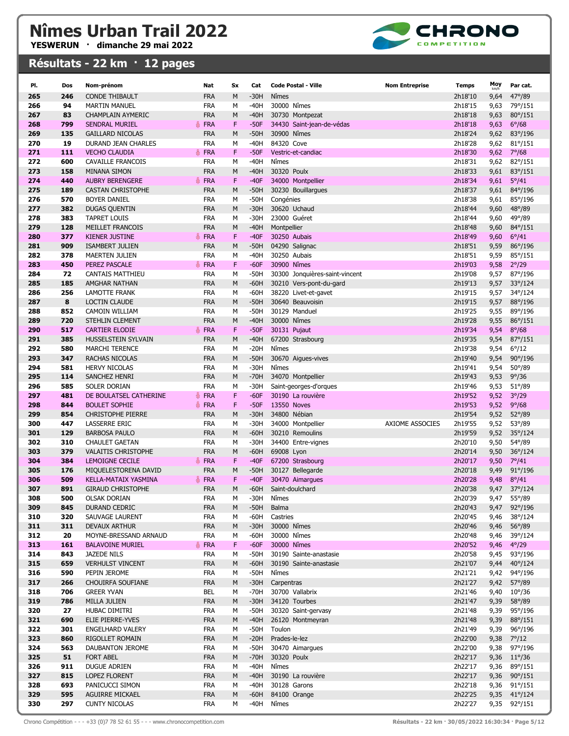

| PI.        | Dos        | Nom-prénom                                       | Nat                      | Sx     | Cat              | <b>Code Postal - Ville</b>                       | <b>Nom Entreprise</b> | Temps              | Moy          | Par cat.                  |
|------------|------------|--------------------------------------------------|--------------------------|--------|------------------|--------------------------------------------------|-----------------------|--------------------|--------------|---------------------------|
| 265        | 246        | <b>CONDE THIBAULT</b>                            | <b>FRA</b>               | M      | $-30H$           | Nîmes                                            |                       | 2h18'10            | 9,64         | $47^{\circ}/89$           |
| 266        | 94         | <b>MARTIN MANUEL</b>                             | <b>FRA</b>               | М      | $-40H$           | 30000 Nîmes                                      |                       | 2h18'15            | 9,63         | 79°/151                   |
| 267        | 83         | <b>CHAMPLAIN AYMERIC</b>                         | <b>FRA</b>               | М      | $-40H$           | 30730 Montpezat                                  |                       | 2h18'18            | 9,63         | $80^{\circ}/151$          |
| 268        | 799        | <b>SENDRAL MURIEL</b>                            | <b>FRA</b>               | F.     | $-50F$           | 34430 Saint-jean-de-védas                        |                       | 2h18'18            | 9,63         | $6^{\circ}/68$            |
| 269        | 135        | <b>GAILLARD NICOLAS</b>                          | <b>FRA</b>               | М      | $-50H$           | 30900 Nîmes                                      |                       | 2h18'24            | 9,62         | 83°/196                   |
| 270        | 19         | DURAND JEAN CHARLES                              | <b>FRA</b>               | м      | $-40H$           | 84320 Cove                                       |                       | 2h18'28            | 9,62         | $81^{\circ}/151$          |
| 271        | 111        | <b>VECHO CLAUDIA</b>                             | <b>FRA</b><br>Ä.         | F      | $-50F$           | Vestric-et-candiac                               |                       | 2h18'30            | 9,62         | $7^{\circ}/68$            |
| 272        | 600        | <b>CAVAILLE FRANCOIS</b>                         | <b>FRA</b>               | M      | $-40H$           | Nîmes                                            |                       | 2h18'31            | 9,62         | 82°/151                   |
| 273        | 158        | <b>MINANA SIMON</b>                              | <b>FRA</b>               | М      | $-40H$           | 30320 Poulx                                      |                       | 2h18'33            | 9,61         | 83°/151                   |
| 274        | 440        | <b>AUBRY BERENGERE</b>                           | <b>FRA</b>               | F.     | $-40F$           | 34000 Montpellier                                |                       | 2h18'34            | 9,61         | $5^{\circ}/41$            |
| 275        | 189        | <b>CASTAN CHRISTOPHE</b>                         | <b>FRA</b>               | M      | $-50H$           | 30230 Bouillargues                               |                       | 2h18'37            | 9,61         | 84°/196                   |
| 276        | 570        | <b>BOYER DANIEL</b>                              | <b>FRA</b>               | М      | $-50H$           | Congénies                                        |                       | 2h18'38            | 9,61         | 85°/196                   |
| 277        | 382        | <b>DUGAS QUENTIN</b>                             | <b>FRA</b>               | М      | $-30H$           | 30620 Uchaud                                     |                       | 2h18'44            | 9,60         | $48^{\circ}/89$           |
| 278        | 383        | <b>TAPRET LOUIS</b>                              | <b>FRA</b>               | М      | $-30H$           | 23000 Guéret                                     |                       | 2h18'44            | 9,60         | 49°/89                    |
| 279        | 128        | MEILLET FRANCOIS                                 | <b>FRA</b>               | M      | $-40H$           | Montpellier                                      |                       | 2h18'48            | 9,60         | 84°/151                   |
| 280        | 377        | <b>KIENER JUSTINE</b>                            | <b>FRA</b>               | F      | $-40F$           | 30250 Aubais                                     |                       | 2h18'49            | 9,60         | $6^{\circ}/41$            |
| 281<br>282 | 909<br>378 | <b>ISAMBERT JULIEN</b><br><b>MAERTEN JULIEN</b>  | <b>FRA</b><br><b>FRA</b> | М<br>М | $-50H$<br>$-40H$ | 04290 Salignac<br>30250 Aubais                   |                       | 2h18'51<br>2h18'51 | 9,59         | 86°/196                   |
| 283        | 450        | PEREZ PASCALE                                    | <b>FRA</b>               | F      | $-60F$           | 30900 Nîmes                                      |                       | 2h19'03            | 9,59<br>9,58 | 85°/151<br>$2^{\circ}/29$ |
| 284        | 72         | CANTAIS MATTHIEU                                 | <b>FRA</b>               | М      | $-50H$           | 30300 Jonquières-saint-vincent                   |                       | 2h19'08            | 9,57         | 87°/196                   |
| 285        | 185        | AMGHAR NATHAN                                    | <b>FRA</b>               | M      | $-60H$           | 30210 Vers-pont-du-gard                          |                       | 2h19'13            | 9,57         | 33°/124                   |
| 286        | 256        | LAMOTTE FRANK                                    | <b>FRA</b>               | М      | $-60H$           | 38220 Livet-et-gavet                             |                       | 2h19'15            | 9,57         | 34°/124                   |
| 287        | 8          | <b>LOCTIN CLAUDE</b>                             | <b>FRA</b>               | М      | $-50H$           | 30640 Beauvoisin                                 |                       | 2h19'15            | 9,57         | 88°/196                   |
| 288        | 852        | CAMOIN WILLIAM                                   | <b>FRA</b>               | М      | $-50H$           | 30129 Manduel                                    |                       | 2h19'25            | 9,55         | 89°/196                   |
| 289        | 720        | STEHLIN CLEMENT                                  | <b>FRA</b>               | М      | $-40H$           | 30000 Nîmes                                      |                       | 2h19'28            | 9,55         | 86°/151                   |
| 290        | 517        | <b>CARTIER ELODIE</b>                            | <b>FRA</b>               | F      | $-50F$           | 30131 Pujaut                                     |                       | 2h19'34            | 9,54         | $8^{\circ}/68$            |
| 291        | 385        | HUSSELSTEIN SYLVAIN                              | <b>FRA</b>               | M      | $-40H$           | 67200 Strasbourg                                 |                       | 2h19'35            | 9,54         | $87^{\circ}/151$          |
| 292        | 580        | <b>MARCHI TERENCE</b>                            | <b>FRA</b>               | М      | $-20H$           | Nîmes                                            |                       | 2h19'38            | 9,54         | $6^{\circ}/12$            |
| 293        | 347        | <b>RACHAS NICOLAS</b>                            | <b>FRA</b>               | M      | $-50H$           | 30670 Aigues-vives                               |                       | 2h19'40            | 9,54         | $90^{\circ}/196$          |
| 294        | 581        | <b>HERVY NICOLAS</b>                             | <b>FRA</b>               | М      | $-30H$           | Nîmes                                            |                       | 2h19'41            | 9,54         | $50^{\circ}/89$           |
| 295        | 114        | SANCHEZ HENRI                                    | <b>FRA</b>               | M      | $-70H$           | 34070 Montpellier                                |                       | 2h19'43            | 9,53         | $9^{\circ}/36$            |
| 296        | 585        | SOLER DORIAN                                     | <b>FRA</b>               | М      | $-30H$           | Saint-georges-d'orques                           |                       | 2h19'46            | 9,53         | $51^{\circ}/89$           |
| 297        | 481        | DE BOULATSEL CATHERINE                           | <b>FRA</b>               | F      | $-60F$           | 30190 La rouvière                                |                       | 2h19'52            | 9,52         | $3^{\circ}/29$            |
| 298<br>299 | 844<br>854 | <b>BOULET SOPHIE</b><br><b>CHRISTOPHE PIERRE</b> | <b>FRA</b><br><b>FRA</b> | F<br>M | $-50F$<br>$-30H$ | 13550 Noves<br>34800 Nébian                      |                       | 2h19'53<br>2h19'54 | 9,52         | 9°/68                     |
| 300        | 447        | LASSERRE ERIC                                    | <b>FRA</b>               | м      | $-30H$           | 34000 Montpellier                                | AXIOME ASSOCIES       | 2h19'55            | 9,52<br>9,52 | 52°/89<br>$53^{\circ}/89$ |
| 301        | 129        | <b>BARBOSA PAULO</b>                             | <b>FRA</b>               | М      | $-60H$           | 30210 Remoulins                                  |                       | 2h19'59            | 9,52         | 35°/124                   |
| 302        | 310        | <b>CHAULET GAETAN</b>                            | <b>FRA</b>               | M      | $-30H$           | 34400 Entre-vignes                               |                       | 2h20'10            | 9,50         | 54°/89                    |
| 303        | 379        | <b>VALAITIS CHRISTOPHE</b>                       | <b>FRA</b>               | М      | $-60H$           | 69008 Lyon                                       |                       | 2h20'14            | 9,50         | $36^{\circ}/124$          |
| 304        | 384        | <b>LEMOIGNE CECILE</b>                           | FRA                      | F      | $-40F$           | 67200 Strasbourg                                 |                       | 2h20'17            | 9,50         | $7^{\circ}/41$            |
| 305        | 176        | MIQUELESTORENA DAVID                             | <b>FRA</b>               | M      | $-50H$           | 30127 Bellegarde                                 |                       | 2h20'18            | 9,49         | 91°/196                   |
| 306        | 509        | <b>KELLA-MATAIX YASMINA</b>                      | <b>▲ FRA</b>             | F      | $-40F$           | 30470 Aimargues                                  |                       | 2h20'28            | 9,48         | $8^{\circ}/41$            |
| 307        | 891        | <b>GIRAUD CHRISTOPHE</b>                         | <b>FRA</b>               | М      | $-60H$           | Saint-doulchard                                  |                       | 2h20'38            | 9,47         | 37°/124                   |
| 308        | 500        | <b>OLSAK DORIAN</b>                              | <b>FRA</b>               | м      | $-30H$           | Nîmes                                            |                       | 2h20'39            | 9,47         | 55°/89                    |
| 309        | 845        | DURAND CEDRIC                                    | <b>FRA</b>               | М      | $-50H$           | Balma                                            |                       | 2h20'43            | 9,47         | 92°/196                   |
| 310        | 320        | SAUVAGE LAURENT                                  | <b>FRA</b>               | М      | $-60H$           | Castries                                         |                       | 2h20'45            | 9,46         | 38°/124                   |
| 311        | 311        | DEVAUX ARTHUR                                    | <b>FRA</b>               | М      | $-30H$           | 30000 Nîmes                                      |                       | 2h20'46            | 9,46         | 56°/89                    |
| 312        | 20         | MOYNE-BRESSAND ARNAUD                            | <b>FRA</b>               | М      | $-60H$           | 30000 Nîmes                                      |                       | 2h20'48            | 9,46         | 39°/124                   |
| 313        | 161        | <b>BALAVOINE MURIEL</b>                          | FRA                      | F      | $-60F$           | 30000 Nîmes                                      |                       | 2h20'52            | 9,46         | $4^{\circ}/29$            |
| 314<br>315 | 843<br>659 | JAZEDE NILS<br><b>VERHULST VINCENT</b>           | <b>FRA</b><br><b>FRA</b> | М<br>М | -50H<br>$-60H$   | 30190 Sainte-anastasie<br>30190 Sainte-anastasie |                       | 2h20'58<br>2h21'07 | 9,45         | 93°/196<br>40°/124        |
| 316        | 590        | PEPIN JEROME                                     | <b>FRA</b>               | М      | $-50H$           | Nîmes                                            |                       | 2h21'21            | 9,44<br>9,42 | 94°/196                   |
| 317        | 266        | CHOUIRFA SOUFIANE                                | <b>FRA</b>               | М      | $-30H$           | Carpentras                                       |                       | 2h21'27            | 9,42         | 57°/89                    |
| 318        | 706        | <b>GREER YVAN</b>                                | BEL                      | М      | $-70H$           | 30700 Vallabrix                                  |                       | 2h21'46            | 9,40         | $10^{\circ}/36$           |
| 319        | 786        | MILLA JULIEN                                     | <b>FRA</b>               | М      | $-30H$           | 34120 Tourbes                                    |                       | 2h21'47            | 9,39         | 58°/89                    |
| 320        | 27         | HUBAC DIMITRI                                    | <b>FRA</b>               | М      | $-50H$           | 30320 Saint-gervasy                              |                       | 2h21'48            | 9,39         | 95°/196                   |
| 321        | 690        | ELIE PIERRE-YVES                                 | <b>FRA</b>               | М      | $-40H$           | 26120 Montmeyran                                 |                       | 2h21'48            | 9,39         | 88°/151                   |
| 322        | 301        | ENGELHARD VALERY                                 | <b>FRA</b>               | М      | $-50H$           | Toulon                                           |                       | 2h21'49            | 9,39         | 96°/196                   |
| 323        | 860        | RIGOLLET ROMAIN                                  | <b>FRA</b>               | М      | $-20H$           | Prades-le-lez                                    |                       | 2h22'00            | 9,38         | $7^{\circ}/12$            |
| 324        | 563        | DAUBANTON JEROME                                 | <b>FRA</b>               | М      | $-50H$           | 30470 Aimargues                                  |                       | 2h22'00            | 9,38         | 97°/196                   |
| 325        | 51         | <b>FORT ABEL</b>                                 | <b>FRA</b>               | М      | $-70H$           | 30320 Poulx                                      |                       | 2h22'17            | 9,36         | $11^{\circ}/36$           |
| 326        | 911        | <b>DUGUE ADRIEN</b>                              | <b>FRA</b>               | М      | $-40H$           | Nîmes                                            |                       | 2h22'17            | 9,36         | 89°/151                   |
| 327        | 815        | <b>LOPEZ FLORENT</b>                             | <b>FRA</b>               | М      | $-40H$           | 30190 La rouvière                                |                       | 2h22'17            | 9,36         | $90^{\circ}/151$          |
| 328        | 693        | PANICUCCI SIMON                                  | <b>FRA</b>               | м      | $-40H$           | 30128 Garons                                     |                       | 2h22'18            | 9,36         | 91°/151                   |
| 329        | 595        | AGUIRRE MICKAEL                                  | <b>FRA</b>               | М      | $-60H$           | 84100 Orange                                     |                       | 2h22'25            |              | 9,35 41°/124              |
| 330        | 297        | <b>CUNTY NICOLAS</b>                             | <b>FRA</b>               | М      | -40H             | Nîmes                                            |                       | 2h22'27            |              | 9,35 92°/151              |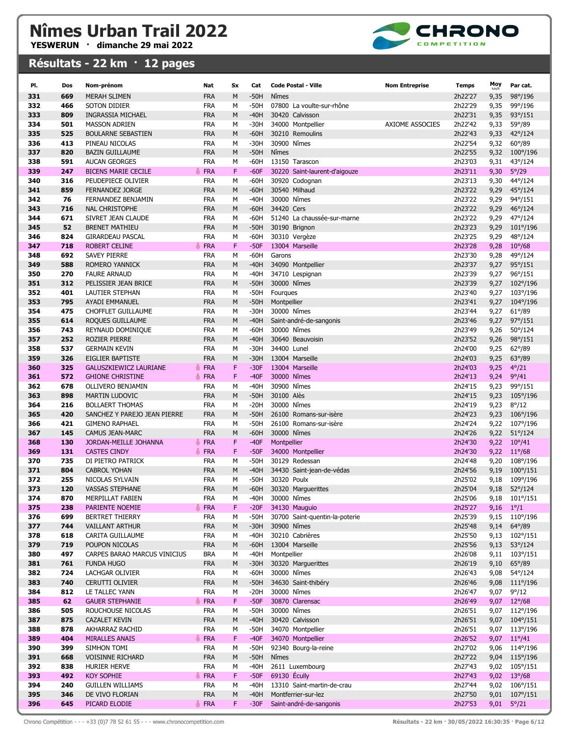

| PI.        | Dos        | Nom-prénom                                      | Nat                      | <b>Sx</b> | Cat              | <b>Code Postal - Ville</b>                | <b>Nom Entreprise</b> | Temps              | Moy          | Par cat.                     |
|------------|------------|-------------------------------------------------|--------------------------|-----------|------------------|-------------------------------------------|-----------------------|--------------------|--------------|------------------------------|
| 331        | 669        | <b>MERAH SLIMEN</b>                             | <b>FRA</b>               | M         | $-50H$           | Nîmes                                     |                       | 2h22'27            | 9,35         | 98°/196                      |
| 332        | 466        | SOTON DIDIER                                    | FRA                      | М         | -50H             | 07800 La voulte-sur-rhône                 |                       | 2h22'29            | 9,35         | 99°/196                      |
| 333        | 809        | <b>INGRASSIA MICHAEL</b>                        | <b>FRA</b>               | M         | $-40H$           | 30420 Calvisson                           |                       | 2h22'31            | 9,35         | 93°/151                      |
| 334        | 501        | <b>MASSON ADRIEN</b>                            | FRA                      | M         | -30H             | 34000 Montpellier                         | AXIOME ASSOCIES       | 2h22'42            | 9,33         | 59°/89                       |
| 335        | 525        | <b>BOULARNE SEBASTIEN</b>                       | <b>FRA</b>               | M         | $-60H$           | 30210 Remoulins                           |                       | 2h22'43            | 9,33         | 42°/124                      |
| 336        | 413        | PINEAU NICOLAS                                  | <b>FRA</b>               | M         | $-30H$           | 30900 Nîmes                               |                       | 2h22'54            | 9,32         | $60^{\circ}/89$              |
| 337        | 820        | <b>BAZIN GUILLAUME</b>                          | <b>FRA</b>               | M         | $-50H$           | Nîmes                                     |                       | 2h22'55            | 9,32         | 100°/196                     |
| 338        | 591        | <b>AUCAN GEORGES</b>                            | <b>FRA</b>               | М         | -60H             | 13150 Tarascon                            |                       | 2h23'03            | 9,31         | 43°/124                      |
| 339        | 247        | <b>BICENS MARIE CECILE</b>                      | <b>FRA</b>               | F         | $-60F$           | 30220 Saint-laurent-d'aigouze             |                       | 2h23'11            | 9,30         | $5^{\circ}/29$               |
| 340        | 316        | PEUDEPIECE OLIVIER                              | FRA                      | М         | $-60H$           | 30920 Codognan                            |                       | 2h23'13            | 9,30         | 44°/124                      |
| 341        | 859        | <b>FERNANDEZ JORGE</b>                          | <b>FRA</b>               | M         | $-60H$           | 30540 Milhaud                             |                       | 2h23'22            | 9,29         | 45°/124                      |
| 342<br>343 | 76<br>716  | FERNANDEZ BENJAMIN<br><b>NAL CHRISTOPHE</b>     | <b>FRA</b><br><b>FRA</b> | M<br>M    | -40H<br>$-60H$   | 30000 Nîmes<br>34420 Cers                 |                       | 2h23'22<br>2h23'22 | 9,29<br>9,29 | 94°/151<br>46°/124           |
| 344        | 671        | SIVRET JEAN CLAUDE                              | <b>FRA</b>               | M         | $-60H$           | 51240 La chaussée-sur-marne               |                       | 2h23'22            | 9,29         | 47°/124                      |
| 345        | 52         | <b>BRENET MATHIEU</b>                           | <b>FRA</b>               | M         | $-50H$           | 30190 Brignon                             |                       | 2h23'23            | 9,29         | 101°/196                     |
| 346        | 824        | <b>GIRARDEAU PASCAL</b>                         | <b>FRA</b>               | М         | $-60H$           | 30310 Vergèze                             |                       | 2h23'25            | 9,29         | 48°/124                      |
| 347        | 718        | <b>ROBERT CELINE</b>                            | <b>FRA</b>               | F         | $-50F$           | 13004 Marseille                           |                       | 2h23'28            | 9,28         | $10^{\circ}/68$              |
| 348        | 692        | SAVEY PIERRE                                    | FRA                      | М         | -60H             | Garons                                    |                       | 2h23'30            | 9,28         | 49°/124                      |
| 349        | 588        | <b>ROMERO YANNICK</b>                           | <b>FRA</b>               | M         | $-40H$           | 34090 Montpellier                         |                       | 2h23'37            | 9,27         | 95°/151                      |
| 350        | 270        | <b>FAURE ARNAUD</b>                             | <b>FRA</b>               | M         | $-40H$           | 34710 Lespignan                           |                       | 2h23'39            | 9,27         | 96°/151                      |
| 351        | 312        | PELISSIER JEAN BRICE                            | <b>FRA</b>               | M         | $-50H$           | 30000 Nîmes                               |                       | 2h23'39            | 9,27         | $102^{\circ}/196$            |
| 352        | 401        | LAUTIER STEPHAN                                 | <b>FRA</b>               | М         | -50H             | Fourques                                  |                       | 2h23'40            | 9,27         | 103°/196                     |
| 353        | 795        | <b>AYADI EMMANUEL</b>                           | <b>FRA</b>               | M         | $-50H$           | Montpellier                               |                       | 2h23'41            | 9,27         | 104°/196                     |
| 354        | 475        | CHOFFLET GUILLAUME                              | <b>FRA</b>               | M         | -30H             | 30000 Nîmes                               |                       | 2h23'44            | 9,27         | $61^{\circ}/89$              |
| 355<br>356 | 614<br>743 | ROQUES GUILLAUME<br>REYNAUD DOMINIQUE           | <b>FRA</b><br><b>FRA</b> | M<br>M    | $-40H$<br>-60H   | Saint-andré-de-sangonis<br>30000 Nîmes    |                       | 2h23'46<br>2h23'49 | 9,27<br>9,26 | 97°/151<br>50°/124           |
| 357        | 252        | <b>ROZIER PIERRE</b>                            | <b>FRA</b>               | M         | $-40H$           | 30640 Beauvoisin                          |                       | 2h23'52            | 9,26         | 98°/151                      |
| 358        | 537        | <b>GERMAIN KEVIN</b>                            | <b>FRA</b>               | М         | $-30H$           | 34400 Lunel                               |                       | 2h24'00            | 9,25         | $62^{\circ}/89$              |
| 359        | 326        | EIGLIER BAPTISTE                                | <b>FRA</b>               | M         | $-30H$           | 13004 Marseille                           |                       | 2h24'03            | 9,25         | $63^{\circ}/89$              |
| 360        | 325        | <b>GALUSZKIEWICZ LAURIANE</b>                   | FRA                      | F         | $-30F$           | 13004 Marseille                           |                       | 2h24'03            | 9,25         | $4^{\circ}/21$               |
| 361        | 572        | <b>GHIONE CHRISTINE</b>                         | <b>FRA</b>               | F         | $-40F$           | 30000 Nîmes                               |                       | 2h24'13            | 9,24         | $9^{\circ}/41$               |
| 362        | 678        | OLLIVERO BENJAMIN                               | FRA                      | M         | -40H             | 30900 Nîmes                               |                       | 2h24'15            | 9,23         | 99°/151                      |
| 363        | 898        | <b>MARTIN LUDOVIC</b>                           | <b>FRA</b>               | M         | $-50H$           | 30100 Alès                                |                       | 2h24'15            | 9,23         | 105°/196                     |
| 364        | 216        | <b>BOLLAERT THOMAS</b>                          | FRA                      | M         | $-20H$           | 30000 Nîmes                               |                       | 2h24'19            | 9,23         | $8^{\circ}/12$               |
| 365        | 420        | SANCHEZ Y PAREJO JEAN PIERRE                    | <b>FRA</b>               | M         | $-50H$           | 26100 Romans-sur-isère                    |                       | 2h24'23            | 9,23         | 106°/196                     |
| 366        | 421        | <b>GIMENO RAPHAEL</b>                           | <b>FRA</b>               | М         | $-50H$           | 26100 Romans-sur-isère                    |                       | 2h24'24            | 9,22         | 107°/196                     |
| 367<br>368 | 145<br>130 | <b>CAMUS JEAN-MARC</b><br>JORDAN-MEILLE JOHANNA | <b>FRA</b><br><b>FRA</b> | M<br>F    | $-60H$<br>$-40F$ | 30000 Nîmes<br>Montpellier                |                       | 2h24'26<br>2h24'30 | 9,22<br>9,22 | 51°/124<br>$10^{\circ}/41$   |
| 369        | 131        | <b>CASTES CINDY</b>                             | <b>FRA</b>               | F         | $-50F$           | 34000 Montpellier                         |                       | 2h24'30            | 9,22         | $11^{\circ}/68$              |
| 370        | 735        | DI PIETRO PATRICK                               | <b>FRA</b>               | М         | $-50H$           | 30129 Redessan                            |                       | 2h24'48            | 9,20         | 108°/196                     |
| 371        | 804        | <b>CABROL YOHAN</b>                             | <b>FRA</b>               | M         | $-40H$           | 34430 Saint-jean-de-védas                 |                       | 2h24'56            | 9,19         | $100^{\circ}/151$            |
| 372        | 255        | NICOLAS SYLVAIN                                 | <b>FRA</b>               | M         | -50H             | 30320 Poulx                               |                       | 2h25'02            | 9,18         | 109°/196                     |
| 373        | 120        | <b>VASSAS STEPHANE</b>                          | <b>FRA</b>               | M         | $-60H$           | 30320 Marguerittes                        |                       | 2h25'04            | 9,18         | 52°/124                      |
| 374        | 870        | MERPILLAT FABIEN                                | FRA                      | М         | -40H             | 30000 Nîmes                               |                       | 2h25'06            |              | 9,18 101°/151                |
| 375        | 238        | PARIENTE NOEMIE                                 | FRA                      | F         | $-20F$           | 34130 Mauguio                             |                       | 2h25'27            | 9,16         | $1^{\circ}/1$                |
| 376        | 699        | <b>BERTRET THIERRY</b>                          | FRA                      | М         | $-50H$           | 30700 Saint-quentin-la-poterie            |                       | 2h25'39            | 9,15         | 110°/196                     |
| 377        | 744        | <b>VAILLANT ARTHUR</b>                          | <b>FRA</b>               | М         | $-30H$           | 30900 Nîmes                               |                       | 2h25'48            | 9,14         | 64°/89                       |
| 378<br>379 | 618<br>719 | CARITA GUILLAUME<br>POUPON NICOLAS              | <b>FRA</b><br><b>FRA</b> | М<br>М    | -40H<br>$-60H$   | 30210 Cabrières<br>13004 Marseille        |                       | 2h25'50<br>2h25'56 | 9,13<br>9,13 | 102°/151<br>$53^{\circ}/124$ |
| 380        | 497        | CARPES BARAO MARCUS VINICIUS                    | <b>BRA</b>               | М         | $-40H$           | Montpellier                               |                       | 2h26'08            | 9,11         | 103°/151                     |
| 381        | 761        | <b>FUNDA HUGO</b>                               | <b>FRA</b>               | М         | $-30H$           | 30320 Marguerittes                        |                       | 2h26'19            | 9,10         | $65^{\circ}/89$              |
| 382        | 724        | LACHGAR OLIVIER                                 | FRA                      | М         | $-60H$           | 30000 Nîmes                               |                       | 2h26'43            | 9,08         | 54°/124                      |
| 383        | 740        | CERUTTI OLIVIER                                 | <b>FRA</b>               | М         | $-50H$           | 34630 Saint-thibéry                       |                       | 2h26'46            | 9,08         | $111^{\circ}/196$            |
| 384        | 812        | LE TALLEC YANN                                  | FRA                      | М         | $-20H$           | 30000 Nîmes                               |                       | 2h26'47            | 9,07         | $9^{\circ}/12$               |
| 385        | 62         | <b>GAUER STEPHANIE</b>                          | <b>FRA</b>               | F         | $-50F$           | 30870 Clarensac                           |                       | 2h26'49            | 9,07         | $12^{\circ}/68$              |
| 386        | 505        | ROUCHOUSE NICOLAS                               | FRA                      | м         | $-50H$           | 30000 Nîmes                               |                       | 2h26'51            | 9,07         | 112°/196                     |
| 387        | 875        | <b>CAZALET KEVIN</b>                            | <b>FRA</b>               | M         | $-40H$           | 30420 Calvisson                           |                       | 2h26'51            | 9,07         | $104^{\circ}/151$            |
| 388        | 878        | AKHARRAZ RACHID                                 | FRA                      | М         | $-50H$           | 34070 Montpellier                         |                       | 2h26'51            | 9,07         | 113°/196                     |
| 389        | 404<br>399 | <b>MIRALLES ANAIS</b>                           | <b>FRA</b>               | F         | $-40F$           | 34070 Montpellier<br>92340 Bourg-la-reine |                       | 2h26'52            | 9,07         | $11^{\circ}/41$              |
| 390<br>391 | 668        | SIMHON TOMI<br><b>VOISINNE RICHARD</b>          | FRA<br><b>FRA</b>        | М<br>М    | $-50H$<br>$-50H$ | Nîmes                                     |                       | 2h27'02<br>2h27'22 | 9,06         | 114°/196<br>9,04 115°/196    |
| 392        | 838        | HURIER HERVE                                    | FRA                      | М         | $-40H$           | 2611 Luxembourg                           |                       | 2h27'43            |              | 9,02 105°/151                |
| 393        | 492        | <b>KOY SOPHIE</b>                               | <b>← FRA</b>             | F         | $-50F$           | 69130 Écully                              |                       | 2h27'43            | 9,02         | $13^{\circ}/68$              |
| 394        | 240        | <b>GUILLEN WILLIAMS</b>                         | FRA                      | М         | -40H             | 13310 Saint-martin-de-crau                |                       | 2h27'44            | 9,02         | 106°/151                     |
| 395        | 346        | DE VIVO FLORIAN                                 | <b>FRA</b>               | М         | -40H             | Montferrier-sur-lez                       |                       | 2h27'50            |              | 9,01 107°/151                |
| 396        | 645        | PICARD ELODIE                                   | FRA                      | F         | $-30F$           | Saint-andré-de-sangonis                   |                       | 2h27'53            |              | $9,01$ $5^{\circ}/21$        |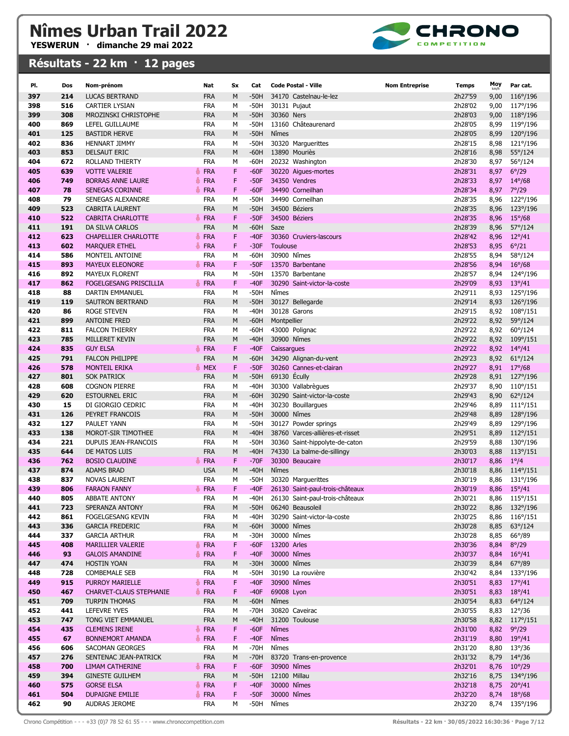

| PI.        | Dos        | Nom-prénom                                   | Nat                      | <b>Sx</b> | Cat              | <b>Code Postal - Ville</b>      | <b>Nom Entreprise</b><br>Temps | Moy          | Par cat.                          |
|------------|------------|----------------------------------------------|--------------------------|-----------|------------------|---------------------------------|--------------------------------|--------------|-----------------------------------|
| 397        | 214        | <b>LUCAS BERTRAND</b>                        | <b>FRA</b>               | M         | $-50H$           | 34170 Castelnau-le-lez          | 2h27'59                        | 9,00         | 116°/196                          |
| 398        | 516        | <b>CARTIER LYSIAN</b>                        | <b>FRA</b>               | M         | $-50H$           | 30131 Pujaut                    | 2h28'02                        | 9,00         | 117°/196                          |
| 399        | 308        | MROZINSKI CHRISTOPHE                         | <b>FRA</b>               | М         | $-50H$           | 30360 Ners                      | 2h28'03                        | 9,00         | 118°/196                          |
| 400        | 869        | LEFEL GUILLAUME                              | <b>FRA</b>               | M         | $-50H$           | 13160 Châteaurenard             | 2h28'05                        | 8,99         | 119°/196                          |
| 401        | 125        | <b>BASTIDR HERVE</b>                         | <b>FRA</b>               | M         | $-50H$           | Nîmes                           | 2h28'05                        | 8,99         | 120°/196                          |
| 402        | 836        | <b>HENNART JIMMY</b>                         | <b>FRA</b>               | M         | $-50H$           | 30320 Marguerittes              | 2h28'15                        | 8,98         | 121°/196                          |
| 403        | 853        | <b>DELSAUT ERIC</b>                          | <b>FRA</b>               | M         | $-60H$           | 13890 Mouriès                   | 2h28'16                        | 8,98         | 55°/124                           |
| 404        | 672        | ROLLAND THIERTY                              | <b>FRA</b>               | M         | -60H             | 20232 Washington                | 2h28'30                        | 8,97         | 56°/124                           |
| 405        | 639        | <b>VOTTE VALERIE</b>                         | <b>FRA</b>               | F         | $-60F$           | 30220 Aigues-mortes             | 2h28'31                        | 8,97         | $6^{\circ}/29$                    |
| 406        | 749        | <b>BORRAS ANNE LAURE</b>                     | <b>FRA</b>               | F         | $-50F$           | 34350 Vendres                   | 2h28'33                        | 8,97         | $14^{\circ}/68$                   |
| 407        | 78         | <b>SENEGAS CORINNE</b>                       | <b>FRA</b>               | F         | $-60F$           | 34490 Corneilhan                | 2h28'34                        | 8,97         | $7^{\circ}/29$                    |
| 408        | 79         | SENEGAS ALEXANDRE                            | <b>FRA</b>               | М         | -50H             | 34490 Corneilhan                | 2h28'35                        | 8,96         | 122°/196                          |
| 409        | 523        | <b>CABRITA LAURENT</b>                       | <b>FRA</b>               | M         | $-50H$           | 34500 Béziers                   | 2h28'35                        | 8,96         | 123°/196                          |
| 410        | 522        | CABRITA CHARLOTTE                            | <b>FRA</b>               | F         | $-50F$           | 34500 Béziers                   | 2h28'35                        | 8,96         | $15^{\circ}/68$                   |
| 411        | 191        | DA SILVA CARLOS                              | <b>FRA</b>               | М         | -60H             | Saze                            | 2h28'39                        | 8,96         | 57°/124                           |
| 412        | 623        | <b>CHAPELLIER CHARLOTTE</b>                  | <b>FRA</b><br>품          | F         | $-40F$           | 30360 Cruviers-lascours         | 2h28'42                        | 8,96         | $12^{\circ}/41$                   |
| 413        | 602        | <b>MARQUER ETHEL</b>                         | <b>A</b> FRA             | F         | $-30F$           | Toulouse                        | 2h28'53                        | 8,95         | $6^{\circ}/21$                    |
| 414        | 586        | MONTEIL ANTOINE                              | FRA                      | М         | -60H             | 30900 Nîmes                     | 2h28'55                        | 8,94         | 58°/124                           |
| 415        | 893        | <b>MAYEUX ELEONORE</b>                       | <b>▲ FRA</b>             | F         | $-50F$           | 13570 Barbentane                | 2h28'56                        | 8,94         | $16^{\circ}/68$                   |
| 416        | 892        | <b>MAYEUX FLORENT</b>                        | FRA                      | M         | $-50H$           | 13570 Barbentane                | 2h28'57                        | 8,94         | 124°/196                          |
| 417        | 862        | FOGELGESANG PRISCILLIA                       | <b>&amp; FRA</b>         | F         | $-40F$           | 30290 Saint-victor-la-coste     | 2h29'09                        | 8,93         | $13^{\circ}/41$                   |
| 418        | 88         | DARTIN EMMANUEL                              | <b>FRA</b>               | M         | $-50H$           | Nîmes                           | 2h29'11                        | 8,93         | 125°/196                          |
| 419        | 119        | SAUTRON BERTRAND                             | <b>FRA</b>               | М         | $-50H$           | 30127 Bellegarde                | 2h29'14                        | 8,93         | 126°/196                          |
| 420        | 86         | ROGE STEVEN                                  | <b>FRA</b>               | м         | -40H             | 30128 Garons                    | 2h29'15                        | 8,92         | 108°/151                          |
| 421<br>422 | 899<br>811 | <b>ANTOINE FRED</b><br><b>FALCON THIERRY</b> | <b>FRA</b><br><b>FRA</b> | M<br>M    | $-60H$<br>-60H   | Montpellier<br>43000 Polignac   | 2h29'22<br>2h29'22             | 8,92<br>8,92 | 59°/124<br>60°/124                |
| 423        | 785        | MILLERET KEVIN                               | <b>FRA</b>               | М         | -40H             | 30900 Nîmes                     | 2h29'22                        | 8,92         | 109°/151                          |
| 424        | 835        | <b>GUY ELSA</b>                              | <b>FRA</b>               | F         | $-40F$           | Caissargues                     | 2h29'22                        | 8,92         | $14^{\circ}/41$                   |
| 425        | 791        | <b>FALCON PHILIPPE</b>                       | <b>FRA</b>               | М         | -60H             | 34290 Alignan-du-vent           | 2h29'23                        | 8,92         | 61°/124                           |
| 426        | 578        | <b>MONTEIL ERIKA</b>                         | MEX M                    | F         | $-50F$           | 30260 Cannes-et-clairan         | 2h29'27                        |              | 8,91 17°/68                       |
| 427        | 801        | <b>SOK PATRICK</b>                           | <b>FRA</b>               | M         | $-50H$           | 69130 Écully                    | 2h29'28                        | 8,91         | 127°/196                          |
| 428        | 608        | <b>COGNON PIERRE</b>                         | <b>FRA</b>               | M         | $-40H$           | 30300 Vallabrègues              | 2h29'37                        | 8,90         | 110°/151                          |
| 429        | 620        | <b>ESTOURNEL ERIC</b>                        | <b>FRA</b>               | М         | $-60H$           | 30290 Saint-victor-la-coste     | 2h29'43                        | 8,90         | $62^{\circ}/124$                  |
| 430        | 15         | DI GIORGIO CEDRIC                            | <b>FRA</b>               | М         | $-40H$           | 30230 Bouillargues              | 2h29'46                        | 8,89         | $111^{\circ}/151$                 |
| 431        | 126        | PEYRET FRANCOIS                              | <b>FRA</b>               | М         | $-50H$           | 30000 Nîmes                     | 2h29'48                        | 8,89         | 128°/196                          |
| 432        | 127        | PAULET YANN                                  | <b>FRA</b>               | М         | $-50H$           | 30127 Powder springs            | 2h29'49                        | 8,89         | 129°/196                          |
| 433        | 138        | MOROT-SIR TIMOTHEE                           | <b>FRA</b>               | M         | $-40H$           | 38760 Varces-allières-et-risset | 2h29'51                        | 8,89         | $112^{\circ}/151$                 |
| 434        | 221        | DUPUIS JEAN-FRANCOIS                         | <b>FRA</b>               | М         | $-50H$           | 30360 Saint-hippolyte-de-caton  | 2h29'59                        | 8,88         | 130°/196                          |
| 435        | 644        | DE MATOS LUIS                                | <b>FRA</b>               | M         | $-40H$           | 74330 La balme-de-sillingy      | 2h30'03                        | 8,88         | 113°/151                          |
| 436        | 762        | <b>BOSIO CLAUDINE</b>                        | <b>FRA</b>               | F         | $-70F$           | 30300 Beaucaire                 | 2h30'17                        | 8,86         | $1^{\circ}/4$                     |
| 437        | 874        | <b>ADAMS BRAD</b>                            | <b>USA</b>               | M         | $-40H$           | Nîmes                           | 2h30'18                        | 8,86         | $114^{\circ}/151$                 |
| 438        | 837        | <b>NOVAS LAURENT</b>                         | <b>FRA</b>               | M         | $-50H$           | 30320 Marguerittes              | 2h30'19                        | 8,86         | 131°/196                          |
| 439        | 806        | <b>FARAON FANNY</b>                          | ₩<br><b>FRA</b>          | F.        | $-40F$           | 26130 Saint-paul-trois-châteaux | 2h30'19                        | 8,86         | $15^{\circ}/41$                   |
| 440        | 805        | <b>ABBATE ANTONY</b>                         | <b>FRA</b>               | М         | -40H             | 26130 Saint-paul-trois-châteaux | 2h30'21                        |              | 8,86 115°/151                     |
| 441        | 723        | SPERANZA ANTONY                              | FRA                      | М         | $-50H$           | 06240 Beausoleil                | 2h30'22                        | 8,86         | 132°/196                          |
| 442        | 861        | <b>FOGELGESANG KEVIN</b>                     | <b>FRA</b>               | М         | $-40H$           | 30290 Saint-victor-la-coste     | 2h30'25                        | 8,86         | 116°/151                          |
| 443        | 336        | <b>GARCIA FREDERIC</b>                       | <b>FRA</b>               | М         | $-60H$           | 30000 Nîmes                     | 2h30'28                        | 8,85         | $63^{\circ}/124$                  |
| 444        | 337        | <b>GARCIA ARTHUR</b>                         | <b>FRA</b>               | M         | -30H             | 30000 Nîmes                     | 2h30'28                        | 8,85         | $66^{\circ}/89$                   |
| 445        | 408<br>93  | <b>MARILLIER VALERIE</b>                     | <b>FRA</b><br><b>FRA</b> | F<br>F    | $-60F$<br>$-40F$ | 13200 Arles<br>30000 Nîmes      | 2h30'36<br>2h30'37             | 8,84         | $8^{\circ}/29$<br>$16^{\circ}/41$ |
| 446<br>447 | 474        | <b>GALOIS AMANDINE</b><br><b>HOSTIN YOAN</b> | Fra                      | М         | -30H             | 30000 Nîmes                     | 2h30'39                        | 8,84<br>8,84 | $67^{\circ}/89$                   |
| 448        | 728        | <b>COMBEMALE SEB</b>                         | <b>FRA</b>               | М         | -50H             | 30190 La rouvière               | 2h30'42                        | 8,84         | 133°/196                          |
| 449        | 915        | <b>PURROY MARIELLE</b>                       | <b>FRA</b><br>Ö.         | F         | $-40F$           | 30900 Nîmes                     | 2h30'51                        | 8,83         | $17^{\circ}/41$                   |
| 450        | 467        | <b>CHARVET-CLAUS STEPHANIE</b>               | FRA                      | F         | -40F             | 69008 Lyon                      | 2h30'51                        | 8,83         | $18^{\circ}/41$                   |
| 451        | 709        | <b>TURPIN THOMAS</b>                         | Fra                      | М         | -60H             | Nîmes                           | 2h30'54                        | 8,83         | 64°/124                           |
| 452        | 441        | LEFEVRE YVES                                 | <b>FRA</b>               | М         | $-70H$           | 30820 Caveirac                  | 2h30'55                        | 8,83         | $12^{\circ}/36$                   |
| 453        | 747        | TONG VIET EMMANUEL                           | <b>FRA</b>               | М         | $-40H$           | 31200 Toulouse                  | 2h30'58                        |              | 8,82 117°/151                     |
| 454        | 435        | <b>CLEMENS IRENE</b>                         | ♣ FRA                    | F         | $-60F$           | Nîmes                           | 2h31'00                        | 8,82         | $9^{\circ}/29$                    |
| 455        | 67         | <b>BONNEMORT AMANDA</b>                      | <b>FRA</b>               | F         | $-40F$           | <b>N</b> îmes                   | 2h31'19                        | 8,80         | $19^{\circ}/41$                   |
| 456        | 606        | SACOMAN GEORGES                              | <b>FRA</b>               | М         | $-70H$           | Nîmes                           | 2h31'20                        | 8,80         | $13^{\circ}/36$                   |
| 457        | 276        | SENTENAC JEAN-PATRICK                        | <b>FRA</b>               | М         | -70H             | 83720 Trans-en-provence         | 2h31'32                        | 8,79         | $14^{\circ}/36$                   |
| 458        | 700        | LIMAM CATHERINE                              | FRA                      | F         | $-60F$           | 30900 Nîmes                     | 2h32'01                        | 8,76         | $10^{\circ}/29$                   |
| 459        | 394        | <b>GINESTE GUILHEM</b>                       | <b>FRA</b>               | М         | $-50H$           | 12100 Millau                    | 2h32'16                        | 8,75         | 134°/196                          |
| 460        | 575        | <b>GORSE ELSA</b>                            | ♣ FRA                    | F         | -40F             | 30000 Nîmes                     | 2h32'18                        | 8,75         | $20^{\circ}/41$                   |
| 461        | 504        | <b>DUPAIGNE EMILIE</b>                       | <b>FRA</b><br>ä.         | F         | $-50F$           | 30000 Nîmes                     | 2h32'20                        | 8,74         | $18^{\circ}/68$                   |
| 462        | 90         | AUDRAS JEROME                                | <b>FRA</b>               | м         | -50H             | Nîmes                           | 2h32'20                        | 8,74         | 135°/196                          |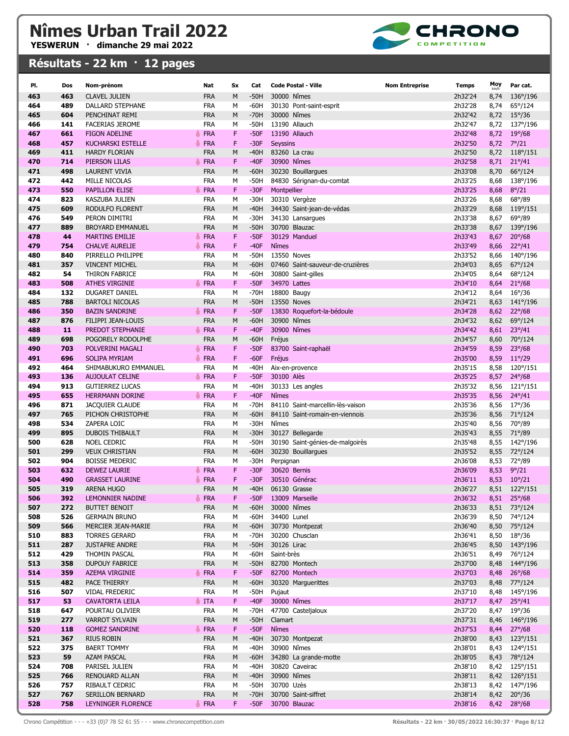

| PI.        | Dos        | Nom-prénom                                   | Nat                             | <b>Sx</b> | Cat              | <b>Code Postal - Ville</b>                            | <b>Nom Entreprise</b><br><b>Temps</b> | Moy          | Par cat.                    |
|------------|------------|----------------------------------------------|---------------------------------|-----------|------------------|-------------------------------------------------------|---------------------------------------|--------------|-----------------------------|
| 463        | 463        | <b>CLAVEL JULIEN</b>                         | <b>FRA</b>                      | M         | $-50H$           | 30000 Nîmes                                           | 2h32'24                               | 8,74         | 136°/196                    |
| 464        | 489        | <b>DALLARD STEPHANE</b>                      | <b>FRA</b>                      | М         | $-60H$           | 30130 Pont-saint-esprit                               | 2h32'28                               | 8,74         | 65°/124                     |
| 465        | 604        | PENCHINAT REMI                               | <b>FRA</b>                      | М         | $-70H$           | 30000 Nîmes                                           | 2h32'42                               | 8,72         | $15^{\circ}/36$             |
| 466        | 141        | <b>FACERIAS JEROME</b>                       | <b>FRA</b>                      | М         | $-50H$           | 13190 Allauch                                         | 2h32'47                               | 8,72         | 137°/196                    |
| 467        | 661        | <b>FIGON ADELINE</b>                         | <b>FRA</b>                      | F.        | $-50F$           | 13190 Allauch                                         | 2h32'48                               | 8,72         | $19^{\circ}/68$             |
| 468        | 457        | <b>KUCHARSKI ESTELLE</b>                     | <b>▲ FRA</b>                    | F.        | $-30F$           | Seyssins                                              | 2h32'50                               | 8,72         | $7^{\circ}/21$              |
| 469        | 411        | <b>HARDY FLORIAN</b>                         | <b>FRA</b>                      | M         | $-40H$           | 83260 La crau                                         | 2h32'50                               | 8,72         | $118^{\circ}/151$           |
| 470        | 714        | PIERSON LILAS                                | <b><i></i></b> FRA              | F.        | $-40F$           | 30900 Nîmes                                           | 2h32'58                               | 8,71         | $21^{\circ}/41$             |
| 471        | 498        | <b>LAURENT VIVIA</b>                         | <b>FRA</b>                      | M         | $-60H$           | 30230 Bouillargues                                    | 2h33'08                               | 8,70         | 66°/124                     |
| 472        | 442        | MILLE NICOLAS                                | <b>FRA</b>                      | м         | -50H             | 84830 Sérignan-du-comtat                              | 2h33'25                               | 8,68         | 138°/196                    |
| 473        | 550        | <b>PAPILLON ELISE</b>                        | <b>FRA</b>                      | F         | $-30F$           | Montpellier                                           | 2h33'25                               | 8,68         | $8^{\circ}/21$              |
| 474        | 823        | <b>KASZUBA JULIEN</b>                        | <b>FRA</b>                      | м         | $-30H$           | 30310 Vergèze                                         | 2h33'26                               | 8,68         | $68^{\circ}/89$             |
| 475        | 609        | RODULFO FLORENT                              | <b>FRA</b>                      | M         | $-40H$           | 34430 Saint-jean-de-védas                             | 2h33'29                               | 8,68         | 119°/151                    |
| 476        | 549        | PERON DIMITRI                                | <b>FRA</b>                      | М         | $-30H$           | 34130 Lansargues                                      | 2h33'38                               | 8,67         | $69^{\circ}/89$             |
| 477        | 889        | <b>BROYARD EMMANUEL</b>                      | <b>FRA</b>                      | M         | $-50H$           | 30700 Blauzac                                         | 2h33'38                               | 8,67         | 139°/196                    |
| 478        | 44         | <b>MARTINS EMILIE</b>                        | <b>● FRA</b>                    | F         | $-50F$           | 30129 Manduel                                         | 2h33'43                               | 8,67         | $20^{\circ}/68$             |
| 479        | 754        | <b>CHALVE AURELIE</b>                        | <b>FRA</b>                      | F         | $-40F$           | Nîmes                                                 | 2h33'49                               | 8,66         | $22^{\circ}/41$             |
| 480        | 840        | PIRRELLO PHILIPPE                            | <b>FRA</b>                      | м         | $-50H$           | 13550 Noves                                           | 2h33'52                               | 8,66         | 140°/196                    |
| 481        | 357        | <b>VINCENT MICHEL</b>                        | <b>FRA</b>                      | М         | $-60H$           | 07460 Saint-sauveur-de-cruzières                      | 2h34'03                               | 8,65         | $67^{\circ}/124$            |
| 482<br>483 | 54<br>508  | THIRON FABRICE<br><b>ATHES VIRGINIE</b>      | <b>FRA</b><br><b>&amp; FRA</b>  | M<br>F.   | $-60H$<br>$-50F$ | 30800 Saint-gilles<br>34970 Lattes                    | 2h34'05<br>2h34'10                    | 8,64<br>8,64 | 68°/124<br>$21^{\circ}/68$  |
| 484        | 132        | DUGARET DANIEL                               | <b>FRA</b>                      | M         | $-70H$           | 18800 Baugy                                           | 2h34'12                               | 8,64         | $16^{\circ}/36$             |
| 485        | 788        | <b>BARTOLI NICOLAS</b>                       | <b>FRA</b>                      | M         | $-50H$           | 13550 Noves                                           | 2h34'21                               | 8,63         | 141°/196                    |
| 486        | 350        | <b>BAZIN SANDRINE</b>                        | FRA                             | F         | $-50F$           | 13830 Roquefort-la-bédoule                            | 2h34'28                               | 8,62         | $22^{\circ}/68$             |
| 487        | 876        | FILIPPI JEAN-LOUIS                           | <b>FRA</b>                      | М         | $-60H$           | 30900 Nîmes                                           | 2h34'32                               | 8,62         | 69°/124                     |
| 488        | 11         | PREDOT STEPHANIE                             | <b>▲ FRA</b>                    | F         | $-40F$           | 30900 Nîmes                                           | 2h34'42                               | 8,61         | $23^{\circ}/41$             |
| 489        | 698        | POGORELY RODOLPHE                            | <b>FRA</b>                      | М         | $-60H$           | Fréjus                                                | 2h34'57                               | 8,60         | 70°/124                     |
| 490        | 703        | POLVERINI MAGALI                             | FRA                             | F         | $-50F$           | 83700 Saint-raphaël                                   | 2h34'59                               | 8,59         | $23^{\circ}/68$             |
| 491        | 696        | <b>SOLIPA MYRIAM</b>                         | <b>▲ FRA</b>                    | F.        | $-60F$           | Fréjus                                                | 2h35'00                               | 8,59         | $11^{\circ}/29$             |
| 492        | 464        | SHIMABUKURO EMMANUEL                         | <b>FRA</b>                      | м         | $-40H$           | Aix-en-provence                                       | 2h35'15                               | 8,58         | 120°/151                    |
| 493        | 136        | <b>AUJOULAT CELINE</b>                       | <b>▲ FRA</b>                    | F         | $-50F$           | 30100 Alès                                            | 2h35'25                               | 8,57         | $24^{\circ}/68$             |
| 494        | 913        | <b>GUTIERREZ LUCAS</b>                       | <b>FRA</b>                      | M         | $-40H$           | 30133 Les angles                                      | 2h35'32                               | 8,56         | 121°/151                    |
| 495        | 655        | <b>HERRMANN DORINE</b>                       | <b>SERA</b>                     | F.        | $-40F$           | <b>N</b> îmes                                         | 2h35'35                               | 8,56         | $24^{\circ}/41$             |
| 496        | 871        | <b>JACQUIER CLAUDE</b>                       | <b>FRA</b>                      | м         | $-70H$           | 84110 Saint-marcellin-lès-vaison                      | 2h35'36                               | 8,56         | 17°/36                      |
| 497        | 765        | PICHON CHRISTOPHE                            | <b>FRA</b>                      | M         | $-60H$           | 84110 Saint-romain-en-viennois                        | 2h35'36                               | 8,56         | 71°/124                     |
| 498        | 534        | ZAPERA LOIC                                  | <b>FRA</b>                      | М         | $-30H$           | Nîmes                                                 | 2h35'40                               | 8,56         | 70°/89                      |
| 499<br>500 | 895        | <b>DUBOIS THIBAULT</b><br><b>NOEL CEDRIC</b> | <b>FRA</b>                      | М<br>M    | $-30H$           | 30127 Bellegarde                                      | 2h35'43                               | 8,55         | 71°/89                      |
| 501        | 628<br>299 | <b>VEUX CHRISTIAN</b>                        | <b>FRA</b><br><b>FRA</b>        | M         | $-50H$<br>$-60H$ | 30190 Saint-génies-de-malgoirès<br>30230 Bouillargues | 2h35'48<br>2h35'52                    | 8,55<br>8,55 | 142°/196<br>72°/124         |
| 502        | 904        | <b>BOISSE MEDERIC</b>                        | <b>FRA</b>                      | м         | $-30H$           | Perpignan                                             | 2h36'08                               | 8,53         | 72°/89                      |
| 503        | 632        | <b>DEWEZ LAURIE</b>                          | <b>FRA</b><br>各                 | F.        | $-30F$           | 30620 Bernis                                          | 2h36'09                               | 8,53         | $9^{\circ}/21$              |
| 504        | 490        | <b>GRASSET LAURINE</b>                       | <b>FRA</b>                      | F.        | $-30F$           | 30510 Générac                                         | 2h36'11                               | 8,53         | $10^{\circ}/21$             |
| 505        | 319        | ARENA HUGO                                   | <b>FRA</b>                      | M         | $-40H$           | 06130 Grasse                                          | 2h36'27                               | 8,51         | 122°/151                    |
| 506        | 392        | LEMONNIER NADINE                             | FRA                             | F         | $-50F$           | 13009 Marseille                                       | 2h36'32                               |              | 8,51 25°/68                 |
| 507        | 272        | <b>BUTTET BENOIT</b>                         | <b>FRA</b>                      | М         | $-60H$           | 30000 Nîmes                                           | 2h36'33                               | 8,51         | 73°/124                     |
| 508        | 526        | <b>GERMAIN BRUNO</b>                         | <b>FRA</b>                      | М         | $-60H$           | 34400 Lunel                                           | 2h36'39                               | 8,50         | 74°/124                     |
| 509        | 566        | MERCIER JEAN-MARIE                           | <b>FRA</b>                      | М         | $-60H$           | 30730 Montpezat                                       | 2h36'40                               | 8,50         | 75°/124                     |
| 510        | 883        | <b>TORRES GERARD</b>                         | <b>FRA</b>                      | М         | -70H             | 30200 Chusclan                                        | 2h36'41                               | 8,50         | $18^{\circ}/36$             |
| 511        | 287        | <b>JUSTAFRE ANDRE</b>                        | <b>FRA</b>                      | М         | $-50H$           | 30126 Lirac                                           | 2h36'45                               | 8,50         | 143°/196                    |
| 512        | 429        | THOMIN PASCAL                                | <b>FRA</b>                      | М         | $-60H$           | Saint-brès                                            | 2h36'51                               | 8,49         | 76°/124                     |
| 513        | 358        | <b>DUPOUY FABRICE</b>                        | <b>FRA</b>                      | М         | $-50H$           | 82700 Montech                                         | 2h37'00                               | 8,48         | 144°/196                    |
| 514        | 359        | AZEMA VIRGINIE                               | FRA                             | F         | $-50F$           | 82700 Montech                                         | 2h37'03                               | 8,48         | $26^{\circ}/68$             |
| 515        | 482        | PACE THIERRY                                 | <b>FRA</b>                      | M         | $-60H$           | 30320 Marguerittes                                    | 2h37'03<br>2h37'10                    | 8,48         | 77°/124                     |
| 516<br>517 | 507<br>53  | VIDAL FREDERIC<br><b>CAVATORTA LEILA</b>     | <b>FRA</b><br>$\frac{1}{2}$ ITA | М<br>F    | -50H<br>$-40F$   | Pujaut<br>30000 Nîmes                                 | 2h37'17                               | 8,48<br>8,47 | 145°/196<br>$25^{\circ}/41$ |
| 518        | 647        | POURTAU OLIVIER                              | <b>FRA</b>                      | М         | -70H             | 47700 Casteljaloux                                    | 2h37'20                               | 8,47         | 19°/36                      |
| 519        | 277        | <b>VARROT SYLVAIN</b>                        | <b>FRA</b>                      | M         | $-50H$           | Clamart                                               | 2h37'31                               | 8,46         | 146°/196                    |
| 520        | 118        | <b>GOMEZ SANDRINE</b>                        | ∯ FRA                           | F         | $-50F$           | Nîmes                                                 | 2h37'53                               | 8,44         | $27^{\circ}/68$             |
| 521        | 367        | <b>RIUS ROBIN</b>                            | <b>FRA</b>                      | М         | $-40H$           | 30730 Montpezat                                       | 2h38'00                               | 8,43         | 123°/151                    |
| 522        | 375        | <b>BAERT TOMMY</b>                           | <b>FRA</b>                      | М         | $-40H$           | 30900 Nîmes                                           | 2h38'01                               | 8,43         | 124°/151                    |
| 523        | 59         | AZAM PASCAL                                  | <b>FRA</b>                      | М         | $-60H$           | 34280 La grande-motte                                 | 2h38'05                               | 8,43         | 78°/124                     |
| 524        | 708        | PARISEL JULIEN                               | FRA                             | М         | $-40H$           | 30820 Caveirac                                        | 2h38'10                               |              | 8,42 125°/151               |
| 525        | 766        | RENOUARD ALLAN                               | <b>FRA</b>                      | М         | $-40H$           | 30900 Nîmes                                           | 2h38'11                               |              | 8,42 126°/151               |
| 526        | 757        | RIBAULT CEDRIC                               | <b>FRA</b>                      | М         | -50H             | 30700 Uzès                                            | 2h38'13                               | 8,42         | 147°/196                    |
| 527        | 767        | SERILLON BERNARD                             | <b>FRA</b>                      | М         | $-70H$           | 30700 Saint-siffret                                   | 2h38'14                               | 8,42         | $20^{\circ}/36$             |
| 528        | 758        | LEYNINGER FLORENCE                           | <b>FRA</b>                      | F         | $-50F$           | 30700 Blauzac                                         | 2h38'16                               |              | 8,42 28°/68                 |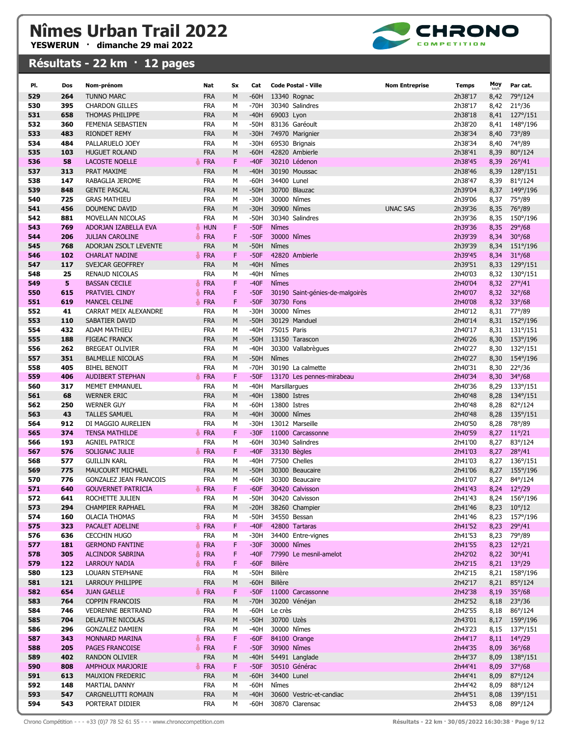

| PI.        | Dos        | Nom-prénom                                     | Nat                      | <b>Sx</b> | Cat              | <b>Code Postal - Ville</b>         | <b>Nom Entreprise</b> | <b>Temps</b>       | Moy          | Par cat.                             |
|------------|------------|------------------------------------------------|--------------------------|-----------|------------------|------------------------------------|-----------------------|--------------------|--------------|--------------------------------------|
| 529        | 264        | <b>TUNNO MARC</b>                              | <b>FRA</b>               | M         | $-60H$           | 13340 Rognac                       |                       | 2h38'17            | 8,42         | 79°/124                              |
| 530        | 395        | <b>CHARDON GILLES</b>                          | <b>FRA</b>               | M         | $-70H$           | 30340 Salindres                    |                       | 2h38'17            | 8,42         | $21^{\circ}/36$                      |
| 531        | 658        | <b>THOMAS PHILIPPE</b>                         | <b>FRA</b>               | M         | $-40H$           | 69003 Lyon                         |                       | 2h38'18            | 8,41         | 127°/151                             |
| 532        | 360        | FEMENIA SEBASTIEN                              | <b>FRA</b>               | М         | $-50H$           | 83136 Garéoult                     |                       | 2h38'20            | 8,41         | 148°/196                             |
| 533        | 483        | <b>RIONDET REMY</b>                            | <b>FRA</b>               | M         | $-30H$           | 74970 Marignier                    |                       | 2h38'34            | 8,40         | 73°/89                               |
| 534        | 484        | PALLARUELO JOEY                                | <b>FRA</b>               | М         | $-30H$           | 69530 Brignais                     |                       | 2h38'34            | 8,40         | 74°/89                               |
| 535        | 103        | <b>HUGUET ROLAND</b>                           | <b>FRA</b>               | M         | $-60H$           | 42820 Ambierle                     |                       | 2h38'41            | 8,39         | 80°/124                              |
| 536        | 58         | <b>LACOSTE NOELLE</b>                          | <b>FRA</b>               | F         | $-40F$           | 30210 Lédenon                      |                       | 2h38'45            | 8,39         | $26^{\circ}/41$                      |
| 537        | 313        | PRAT MAXIME                                    | <b>FRA</b>               | M         | $-40H$           | 30190 Moussac                      |                       | 2h38'46            | 8,39         | 128°/151                             |
| 538        | 147        | RABAGLIA JEROME                                | <b>FRA</b>               | М         | $-60H$           | 34400 Lunel                        |                       | 2h38'47            | 8,39         | $81^{\circ}/124$                     |
| 539        | 848        | <b>GENTE PASCAL</b>                            | <b>FRA</b>               | M         | $-50H$           | 30700 Blauzac                      |                       | 2h39'04            | 8,37         | 149°/196                             |
| 540        | 725        | <b>GRAS MATHIEU</b>                            | <b>FRA</b>               | М         | $-30H$           | 30000 Nîmes                        |                       | 2h39'06            | 8,37         | 75°/89                               |
| 541        | 456        | DOUMENC DAVID                                  | <b>FRA</b>               | M         | $-30H$           | 30900 Nîmes                        | <b>UNAC SAS</b>       | 2h39'36            | 8,35         | 76°/89                               |
| 542        | 881        | MOVELLAN NICOLAS                               | <b>FRA</b>               | M         | $-50H$           | 30340 Salindres                    |                       | 2h39'36            | 8,35         | 150°/196                             |
| 543        | 769        | ADORJAN IZABELLA EVA                           | ♣ HUN                    | F         | $-50F$           | Nîmes                              |                       | 2h39'36            | 8,35         | $29^{\circ}/68$                      |
| 544        | 206        | <b>JULIAN CAROLINE</b>                         | <b>&amp; FRA</b>         | F         | $-50F$           | 30000 Nîmes                        |                       | 2h39'39            | 8,34         | $30^{\circ}/68$                      |
| 545        | 768        | ADORJAN ZSOLT LEVENTE                          | <b>FRA</b>               | M         | $-50H$           | Nîmes                              |                       | 2h39'39            | 8,34         | 151°/196                             |
| 546        | 102        | <b>CHARLAT NADINE</b>                          | <b>← FRA</b>             | F         | $-50F$           | 42820 Ambierle                     |                       | 2h39'45            | 8,34         | $31^{\circ}/68$                      |
| 547        | 117        | SVEJCAR GEOFFREY                               | <b>FRA</b>               | M         | $-40H$           | Nîmes                              |                       | 2h39'51            | 8,33         | 129°/151                             |
| 548<br>549 | 25<br>5    | <b>RENAUD NICOLAS</b><br><b>BASSAN CECILE</b>  | <b>FRA</b><br>FRA        | M<br>F    | $-40H$<br>$-40F$ | Nîmes<br>Nîmes                     |                       | 2h40'03<br>2h40'04 | 8,32<br>8,32 | $130^{\circ}/151$<br>$27^{\circ}/41$ |
| 550        | 615        | PRATVIEL CINDY                                 | <b>FRA</b><br>통          | F         | $-50F$           | 30190 Saint-génies-de-malgoirès    |                       | 2h40'07            | 8,32         | $32^{\circ}/68$                      |
| 551        | 619        | <b>MANCEL CELINE</b>                           | <b>FRA</b>               | F         | $-50F$           | 30730 Fons                         |                       | 2h40'08            | 8,32         | $33^{\circ}/68$                      |
| 552        | 41         | CARRAT MEIX ALEXANDRE                          | <b>FRA</b>               | М         | $-30H$           | 30000 Nîmes                        |                       | 2h40'12            | 8,31         | 77°/89                               |
| 553        | 110        | SABATIER DAVID                                 | <b>FRA</b>               | M         | $-50H$           | 30129 Manduel                      |                       | 2h40'14            | 8,31         | 152°/196                             |
| 554        | 432        | ADAM MATHIEU                                   | <b>FRA</b>               | M         | $-40H$           | 75015 Paris                        |                       | 2h40'17            | 8,31         | 131°/151                             |
| 555        | 188        | <b>FIGEAC FRANCK</b>                           | <b>FRA</b>               | M         | $-50H$           | 13150 Tarascon                     |                       | 2h40'26            | 8,30         | 153°/196                             |
| 556        | 262        | <b>BREGEAT OLIVIER</b>                         | <b>FRA</b>               | М         | $-40H$           | 30300 Vallabrègues                 |                       | 2h40'27            | 8,30         | 132°/151                             |
| 557        | 351        | <b>BALMELLE NICOLAS</b>                        | <b>FRA</b>               | M         | $-50H$           | Nîmes                              |                       | 2h40'27            | 8,30         | 154°/196                             |
| 558        | 405        | <b>BIHEL BENOIT</b>                            | <b>FRA</b>               | М         | $-70H$           | 30190 La calmette                  |                       | 2h40'31            | 8,30         | $22^{\circ}/36$                      |
| 559        | 406        | <b>AUDIBERT STEPHAN</b>                        | <b>FRA</b>               | F         | $-50F$           | 13170 Les pennes-mirabeau          |                       | 2h40'34            | 8,30         | $34^{\circ}/68$                      |
| 560        | 317        | <b>MEMET EMMANUEL</b>                          | <b>FRA</b>               | M         | $-40H$           | Marsillargues                      |                       | 2h40'36            | 8,29         | 133°/151                             |
| 561        | 68         | <b>WERNER ERIC</b>                             | <b>FRA</b>               | M         | $-40H$           | 13800 Istres                       |                       | 2h40'48            | 8,28         | 134°/151                             |
| 562        | 250        | <b>WERNER GUY</b>                              | <b>FRA</b>               | М         | $-60H$           | 13800 Istres                       |                       | 2h40'48            | 8,28         | 82°/124                              |
| 563        | 43         | <b>TALLES SAMUEL</b>                           | <b>FRA</b>               | M         | $-40H$           | 30000 Nîmes                        |                       | 2h40'48            | 8,28         | 135°/151                             |
| 564        | 912        | DI MAGGIO AURELIEN                             | <b>FRA</b>               | M         | $-30H$           | 13012 Marseille                    |                       | 2h40'50            | 8,28         | 78°/89                               |
| 565        | 374        | <b>TENSA MATHILDE</b>                          | <b>FRA</b>               | F         | $-30F$           | 11000 Carcassonne                  |                       | 2h40'59            | 8,27         | $11^{\circ}/21$                      |
| 566        | 193        | <b>AGNIEL PATRICE</b>                          | <b>FRA</b>               | М         | $-60H$           | 30340 Salindres                    |                       | 2h41'00            | 8,27         | 83°/124                              |
| 567        | 576        | SOLIGNAC JULIE                                 | FRA                      | F         | $-40F$           | 33130 Bègles                       |                       | 2h41'03            | 8,27         | $28^{\circ}/41$                      |
| 568        | 577        | <b>GUILLIN KARL</b><br><b>MAUCOURT MICHAEL</b> | <b>FRA</b>               | M         | $-40H$           | 77500 Chelles                      |                       | 2h41'03<br>2h41'06 | 8,27         | 136°/151                             |
| 569<br>570 | 775<br>776 | <b>GONZALEZ JEAN FRANCOIS</b>                  | <b>FRA</b><br><b>FRA</b> | M<br>М    | $-50H$<br>-60H   | 30300 Beaucaire<br>30300 Beaucaire |                       | 2h41'07            | 8,27<br>8,27 | 155°/196<br>84°/124                  |
| 571        | 640        | <b>GOUVERNET PATRICIA</b>                      | <b>FRA</b>               | F         | $-60F$           | 30420 Calvisson                    |                       | 2h41'43            | 8,24         | $12^{\circ}/29$                      |
| 572        | 641        | ROCHETTE JULIEN                                | <b>FRA</b>               | М         | $-50H$           | 30420 Calvisson                    |                       | 2h41'43            |              | 8,24 156°/196                        |
| 573        | 294        | <b>CHAMPIER RAPHAEL</b>                        | <b>FRA</b>               | М         | $-20H$           | 38260 Champier                     |                       | 2h41'46            | 8,23         | $10^{\circ}/12$                      |
| 574        | 160        | <b>OLACIA THOMAS</b>                           | FRA                      | м         | $-50H$           | 34550 Bessan                       |                       | 2h41'46            | 8,23         | 157°/196                             |
| 575        | 323        | PACALET ADELINE                                | FRA                      | F         | $-40F$           | 42800 Tartaras                     |                       | 2h41'52            | 8,23         | $29^{\circ}/41$                      |
| 576        | 636        | <b>CECCHIN HUGO</b>                            | <b>FRA</b>               | М         | -30H             | 34400 Entre-vignes                 |                       | 2h41'53            | 8,23         | 79°/89                               |
| 577        | 181        | <b>GERMOND FANTINE</b>                         | <b>← FRA</b>             | F         | $-30F$           | 30000 Nîmes                        |                       | 2h41'55            | 8,23         | $12^{\circ}/21$                      |
| 578        | 305        | ALCINDOR SABRINA                               | <b>个 FRA</b>             | F         | $-40F$           | 77990 Le mesnil-amelot             |                       | 2h42'02            | 8,22         | $30^{\circ}/41$                      |
| 579        | 122        | <b>LARROUY NADIA</b>                           | FRA                      | F         | $-60F$           | <b>Billère</b>                     |                       | 2h42'15            | 8,21         | $13^{\circ}/29$                      |
| 580        | 123        | LOUARN STEPHANE                                | <b>FRA</b>               | М         | $-50H$           | Billère                            |                       | 2h42'15            | 8,21         | 158°/196                             |
| 581        | 121        | LARROUY PHILIPPE                               | <b>FRA</b>               | М         | $-60H$           | Billère                            |                       | 2h42'17            | 8,21         | 85°/124                              |
| 582        | 654        | <b>JUAN GAELLE</b>                             | FRA                      | F         | $-50F$           | 11000 Carcassonne                  |                       | 2h42'38            | 8,19         | $35^{\circ}/68$                      |
| 583        | 764        | <b>COPPIN FRANCOIS</b>                         | <b>FRA</b>               | М         | $-70H$           | 30200 Vénéjan                      |                       | 2h42'52            | 8,18         | $23^{\circ}/36$                      |
| 584        | 746        | <b>VEDRENNE BERTRAND</b>                       | <b>FRA</b>               | М         | $-60H$           | Le crès                            |                       | 2h42'55            | 8,18         | 86°/124                              |
| 585<br>586 | 704<br>296 | DELAUTRE NICOLAS<br><b>GONZALEZ DAMIEN</b>     | <b>FRA</b><br><b>FRA</b> | М<br>М    | $-50H$<br>$-40H$ | 30700 Uzès<br>30000 Nîmes          |                       | 2h43'01<br>2h43'23 | 8,17<br>8,15 | 159°/196<br>137°/151                 |
| 587        | 343        | MONNARD MARINA                                 | <b>FRA</b>               | F         | $-60F$           | 84100 Orange                       |                       | 2h44'17            | 8,11         | $14^{\circ}/29$                      |
| 588        | 205        | PAGES FRANCOISE                                | FRA                      | F         | $-50F$           | 30900 Nîmes                        |                       | 2h44'35            | 8,09         | $36^{\circ}/68$                      |
| 589        | 402        | <b>RANDON OLIVIER</b>                          | <b>FRA</b>               | М         | $-40H$           | 54491 Langlade                     |                       | 2h44'37            | 8,09         | 138°/151                             |
| 590        | 808        | AMPHOUX MARJORIE                               | $\#$ FRA                 | F         | $-50F$           | 30510 Générac                      |                       | 2h44'41            | 8,09         | $37^{\circ}/68$                      |
| 591        | 613        | MAUXION FREDERIC                               | <b>FRA</b>               | M         | $-60H$           | 34400 Lunel                        |                       | 2h44'41            | 8,09         | 87°/124                              |
| 592        | 148        | MARTIAL DANNY                                  | FRA                      | М         | $-60H$           | Nîmes                              |                       | 2h44'42            | 8,09         | 88°/124                              |
| 593        | 547        | CARGNELUTTI ROMAIN                             | <b>FRA</b>               | М         | $-40H$           | 30600 Vestric-et-candiac           |                       | 2h44'51            | 8,08         | 139°/151                             |
| 594        | 543        | PORTERAT DIDIER                                | <b>FRA</b>               | М         | $-60H$           | 30870 Clarensac                    |                       | 2h44'53            | 8,08         | 89°/124                              |
|            |            |                                                |                          |           |                  |                                    |                       |                    |              |                                      |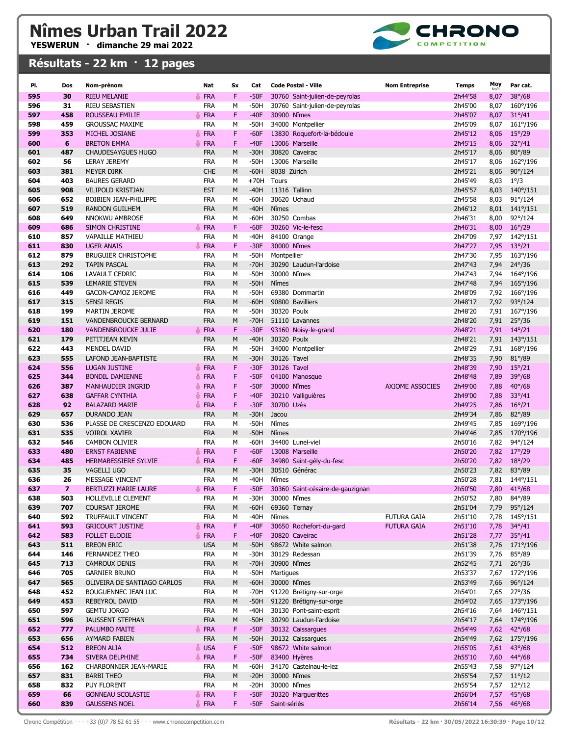

| PI.        | Dos            | Nom-prénom                                   | Nat                      | Sx     | Cat              | <b>Code Postal - Ville</b>                         | <b>Nom Entreprise</b> | Temps              | Moy          | Par cat.                           |
|------------|----------------|----------------------------------------------|--------------------------|--------|------------------|----------------------------------------------------|-----------------------|--------------------|--------------|------------------------------------|
| 595        | 30             | <b>RIEU MELANIE</b>                          | <b>FRA</b>               | F.     | $-50F$           | 30760 Saint-julien-de-peyrolas                     |                       | 2h44'58            | 8,07         | $38^{\circ}/68$                    |
| 596        | 31             | <b>RIEU SEBASTIEN</b>                        | <b>FRA</b>               | М      | $-50H$           | 30760 Saint-julien-de-peyrolas                     |                       | 2h45'00            | 8,07         | 160°/196                           |
| 597        | 458            | ROUSSEAU EMILIE                              | FRA                      | F      | $-40F$           | 30900 Nîmes                                        |                       | 2h45'07            | 8,07         | $31^{\circ}/41$                    |
| 598        | 459            | <b>GROUSSAC MAXIME</b>                       | <b>FRA</b>               | М      | $-50H$           | 34000 Montpellier                                  |                       | 2h45'09            | 8,07         | 161°/196                           |
| 599        | 353            | MICHEL JOSIANE                               | <b>FRA</b>               | F      | $-60F$           | 13830 Roquefort-la-bédoule                         |                       | 2h45'12            | 8,06         | $15^{\circ}/29$                    |
| 600        | 6              | <b>BRETON EMMA</b>                           | <b>FRA</b>               | F      | $-40F$           | 13006 Marseille                                    |                       | 2h45'15            | 8,06         | $32^{\circ}/41$                    |
| 601        | 487            | <b>CHAUDESAYGUES HUGO</b>                    | <b>FRA</b>               | M      | $-30H$           | 30820 Caveirac                                     |                       | 2h45'17            | 8,06         | 80°/89                             |
| 602        | 56             | <b>LERAY JEREMY</b>                          | <b>FRA</b>               | М      | $-50H$           | 13006 Marseille                                    |                       | 2h45'17            | 8,06         | 162°/196                           |
| 603        | 381            | <b>MEYER DIRK</b>                            | <b>CHE</b>               | M      | $-60H$           | 8038 Zürich                                        |                       | 2h45'21            | 8,06         | $90^{\circ}/124$                   |
| 604        | 403            | <b>BAURES GERARD</b>                         | <b>FRA</b>               | M      | $+70H$           | Tours                                              |                       | 2h45'49            | 8,03         | $1^{\circ}/3$                      |
| 605        | 908            | <b>VILIPOLD KRISTJAN</b>                     | <b>EST</b>               | M      | $-40H$           | 11316 Tallinn                                      |                       | 2h45'57            | 8,03         | 140°/151                           |
| 606        | 652            | BOIBIEN JEAN-PHILIPPE                        | <b>FRA</b>               | М      | $-60H$           | 30620 Uchaud                                       |                       | 2h45'58            | 8,03         | $91^{\circ}/124$                   |
| 607        | 519            | <b>RANDON GUILHEM</b>                        | <b>FRA</b>               | M      | $-40H$           | Nîmes                                              |                       | 2h46'12            | 8,01         | $141^{\circ}/151$                  |
| 608        | 649            | NNOKWU AMBROSE                               | <b>FRA</b>               | М      | $-60H$           | 30250 Combas                                       |                       | 2h46'31            | 8,00         | 92°/124                            |
| 609        | 686            | <b>SIMON CHRISTINE</b>                       | <b>FRA</b>               | F.     | $-60F$           | 30260 Vic-le-fesq                                  |                       | 2h46'31            | 8,00         | $16^{\circ}/29$                    |
| 610        | 857            | <b>VAPAILLE MATHIEU</b>                      | <b>FRA</b>               | М      | $-40H$           | 84100 Orange                                       |                       | 2h47'09            | 7,97         | 142°/151                           |
| 611        | 830            | <b>UGER ANAIS</b>                            | <b>FRA</b>               | F      | $-30F$           | 30000 Nîmes                                        |                       | 2h47'27            | 7,95         | $13^{\circ}/21$                    |
| 612        | 879            | <b>BRUGUIER CHRISTOPHE</b>                   | <b>FRA</b>               | M      | $-50H$           | Montpellier                                        |                       | 2h47'30            | 7,95         | 163°/196                           |
| 613        | 292            | <b>TAPIN PASCAL</b>                          | <b>FRA</b>               | М      | $-70H$           | 30290 Laudun-l'ardoise                             |                       | 2h47'43            | 7,94         | $24^{\circ}/36$                    |
| 614        | 106            | LAVAULT CEDRIC                               | <b>FRA</b>               | M      | $-50H$           | 30000 Nîmes                                        |                       | 2h47'43            | 7,94         | 164°/196                           |
| 615        | 539            | <b>LEMARIE STEVEN</b>                        | <b>FRA</b>               | M      | $-50H$           | Nîmes                                              |                       | 2h47'48            | 7,94         | 165°/196                           |
| 616        | 449            | <b>GACON-CAMOZ JEROME</b>                    | <b>FRA</b>               | М      | $-50H$           | 69380 Dommartin                                    |                       | 2h48'09            | 7,92         | 166°/196                           |
| 617        | 315            | <b>SENSI REGIS</b>                           | <b>FRA</b>               | М      | $-60H$           | 90800 Bavilliers                                   |                       | 2h48'17            | 7,92         | $93^{\circ}/124$                   |
| 618        | 199            | <b>MARTIN JEROME</b>                         | <b>FRA</b>               | M      | $-50H$           | 30320 Poulx                                        |                       | 2h48'20            | 7,91         | 167°/196                           |
| 619        | 151            | <b>VANDENBROUCKE BERNARD</b>                 | <b>FRA</b>               | М      | $-70H$           | 51110 Lavannes                                     |                       | 2h48'20            | 7,91         | $25^{\circ}/36$                    |
| 620        | 180            | <b>VANDENBROUCKE JULIE</b>                   | <b>FRA</b>               | F      | $-30F$           | 93160 Noisy-le-grand                               |                       | 2h48'21            | 7,91         | $14^{\circ}/21$                    |
| 621        | 179            | PETITJEAN KEVIN                              | <b>FRA</b>               | M      | $-40H$           | 30320 Poulx                                        |                       | 2h48'21            | 7,91         | 143°/151                           |
| 622        | 443            | <b>MENDEL DAVID</b>                          | <b>FRA</b>               | M      | $-50H$           | 34000 Montpellier                                  |                       | 2h48'29            | 7,91         | 168°/196                           |
| 623<br>624 | 555<br>556     | LAFOND JEAN-BAPTISTE<br><b>LUGAN JUSTINE</b> | <b>FRA</b><br><b>FRA</b> | М<br>F | $-30H$<br>$-30F$ | 30126 Tavel<br>30126 Tavel                         |                       | 2h48'35<br>2h48'39 | 7,90         | 81°/89                             |
| 625        | 344            | <b>BONDIL DAMIENNE</b>                       | <b>FRA</b>               | F      | $-50F$           | 04100 Manosque                                     |                       | 2h48'48            | 7,90<br>7,89 | $15^{\circ}/21$<br>$39^{\circ}/68$ |
| 626        | 387            | <b>MANHAUDIER INGRID</b>                     | <b>FRA</b>               | F      | $-50F$           | 30000 Nîmes                                        | AXIOME ASSOCIES       | 2h49'00            | 7,88         | $40^{\circ}/68$                    |
| 627        | 638            | <b>GAFFAR CYNTHIA</b>                        | <b>FRA</b>               | F      | $-40F$           | 30210 Valliguières                                 |                       | 2h49'00            | 7,88         | $33^{\circ}/41$                    |
| 628        | 92             | <b>BALAZARD MARIE</b>                        | <b>FRA</b>               | F      | $-30F$           | 30700 Uzès                                         |                       | 2h49'25            | 7,86         | $16^{\circ}/21$                    |
| 629        | 657            | <b>DURANDO JEAN</b>                          | <b>FRA</b>               | M      | $-30H$           | Jacou                                              |                       | 2h49'34            | 7,86         | 82°/89                             |
| 630        | 536            | PLASSE DE CRESCENZO EDOUARD                  | <b>FRA</b>               | М      | $-50H$           | Nîmes                                              |                       | 2h49'45            | 7,85         | 169°/196                           |
| 631        | 535            | <b>VOIROL XAVIER</b>                         | <b>FRA</b>               | М      | $-50H$           | Nîmes                                              |                       | 2h49'46            | 7,85         | 170°/196                           |
| 632        | 546            | <b>CAMBON OLIVIER</b>                        | <b>FRA</b>               | м      | $-60H$           | 34400 Lunel-viel                                   |                       | 2h50'16            | 7,82         | 94°/124                            |
| 633        | 480            | <b>ERNST FABIENNE</b>                        | <b>FRA</b>               | F      | $-60F$           | 13008 Marseille                                    |                       | 2h50'20            | 7,82         | $17^{\circ}/29$                    |
| 634        | 485            | HERMABESSIERE SYLVIE                         | <b>FRA</b>               | F      | $-60F$           | 34980 Saint-gély-du-fesc                           |                       | 2h50'20            | 7,82         | $18^{\circ}/29$                    |
| 635        | 35             | <b>VAGELLI UGO</b>                           | <b>FRA</b>               | M      | $-30H$           | 30510 Générac                                      |                       | 2h50'23            | 7,82         | 83°/89                             |
| 636        | 26             | MESSAGE VINCENT                              | <b>FRA</b>               | М      | $-40H$           | Nîmes                                              |                       | 2h50'28            | 7,81         | 144°/151                           |
| 637        | $\overline{ }$ | BERTUZZI MARIE LAURE                         | <b>FRA</b>               | F.     | $-50F$           | 30360 Saint-césaire-de-gauzignan                   |                       | 2h50'50            | 7,80         | $41^{\circ}/68$                    |
| 638        | 503            | HOLLEVILLE CLEMENT                           | <b>FRA</b>               | м      | $-30H$           | 30000 Nîmes                                        |                       | 2h50'52            | 7,80         | 84°/89                             |
| 639        | 707            | <b>COURSAT JEROME</b>                        | <b>FRA</b>               | М      | $-60H$           | 69360 Ternay                                       |                       | 2h51'04            | 7,79         | 95°/124                            |
| 640        | 592            | TRUFFAULT VINCENT                            | <b>FRA</b>               | М      | $-40H$           | Nîmes                                              | <b>FUTURA GAIA</b>    | 2h51'10            | 7,78         | 145°/151                           |
| 641        | 593            | <b>GRICOURT JUSTINE</b>                      | <b>FRA</b><br>Ö.         | F      | $-40F$           | 30650 Rochefort-du-gard                            | <b>FUTURA GAIA</b>    | 2h51'10            | 7,78         | $34^{\circ}/41$                    |
| 642        | 583            | <b>FOLLET ELODIE</b>                         | Ä.<br><b>FRA</b>         | F      | $-40F$           | 30820 Caveirac                                     |                       | 2h51'28            | 7,77         | $35^{\circ}/41$                    |
| 643        | 511            | <b>BREON ERIC</b>                            | <b>USA</b>               | М      | $-50H$           | 98672 White salmon                                 |                       | 2h51'38            | 7,76         | 171°/196                           |
| 644        | 146            | FERNANDEZ THEO                               | <b>FRA</b>               | М      | $-30H$           | 30129 Redessan                                     |                       | 2h51'39            | 7,76         | 85°/89                             |
| 645        | 713            | <b>CAMROUX DENIS</b>                         | <b>FRA</b>               | М      | $-70H$           | 30900 Nîmes                                        |                       | 2h52'45            | 7,71         | $26^{\circ}/36$                    |
| 646        | 705            | <b>GARNIER BRUNO</b>                         | <b>FRA</b>               | м      | $-50H$           | Martigues                                          |                       | 2h53'37            | 7,67         | 172°/196                           |
| 647        | 565            | OLIVEIRA DE SANTIAGO CARLOS                  | <b>FRA</b>               | М      | $-60H$           | 30000 Nîmes                                        |                       | 2h53'49            | 7,66         | $96^{\circ}/124$                   |
| 648<br>649 | 452<br>453     | BOUGUENNEC JEAN LUC<br>REBEYROL DAVID        | <b>FRA</b><br><b>FRA</b> | м<br>М | $-70H$<br>$-50H$ | 91220 Brétigny-sur-orge<br>91220 Brétigny-sur-orge |                       | 2h54'01<br>2h54'02 | 7,65<br>7,65 | $27^{\circ}/36$<br>173°/196        |
| 650        | 597            | <b>GEMTU JORGO</b>                           | <b>FRA</b>               | М      | $-40H$           | 30130 Pont-saint-esprit                            |                       | 2h54'16            | 7,64         | 146°/151                           |
| 651        | 596            | <b>JAUSSENT STEPHAN</b>                      | <b>FRA</b>               | М      | $-50H$           | 30290 Laudun-l'ardoise                             |                       | 2h54'17            | 7,64         | 174°/196                           |
| 652        | 777            | PALUMBO MAITE                                | FRA                      | F      | $-50F$           | 30132 Caissargues                                  |                       | 2h54'49            | 7,62         | $42^{\circ}/68$                    |
| 653        | 656            | AYMARD FABIEN                                | <b>FRA</b>               | М      | $-50H$           | 30132 Caissargues                                  |                       | 2h54'49            | 7,62         | 175°/196                           |
| 654        | 512            | <b>BREON ALIA</b>                            | <b>↓USA</b>              | F      | $-50F$           | 98672 White salmon                                 |                       | 2h55'05            | 7,61         | $43^{\circ}/68$                    |
| 655        | 734            | SIVERA DELPHINE                              | FRA                      | F      | $-50F$           | 83400 Hyères                                       |                       | 2h55'10            | 7,60         | $44^{\circ}/68$                    |
| 656        | 162            | CHARBONNIER JEAN-MARIE                       | <b>FRA</b>               | М      | $-60H$           | 34170 Castelnau-le-lez                             |                       | 2h55'43            | 7,58         | 97°/124                            |
| 657        | 831            | <b>BARBI THEO</b>                            | <b>FRA</b>               | М      | $-20H$           | 30000 Nîmes                                        |                       | 2h55'54            | 7,57         | $11^{\circ}/12$                    |
| 658        | 832            | PUY FLORENT                                  | <b>FRA</b>               | М      | $-20H$           | 30000 Nîmes                                        |                       | 2h55'54            | 7,57         | $12^{\circ}/12$                    |
| 659        | 66             | <b>GONNEAU SCOLASTIE</b>                     | <b>FRA</b>               | F      | $-50F$           | 30320 Marguerittes                                 |                       | 2h56'04            | 7,57         | $45^{\circ}/68$                    |
| 660        | 839            | <b>GAUSSENS NOEL</b>                         | FRA                      | F      | $-50F$           | Saint-sériès                                       |                       | 2h56'14            | 7,56         | $46^{\circ}/68$                    |
|            |                |                                              |                          |        |                  |                                                    |                       |                    |              |                                    |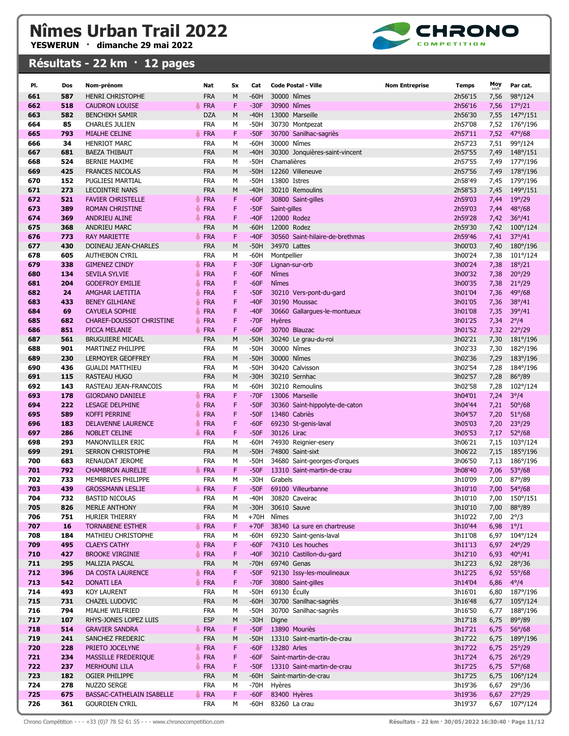

| PI.        | Dos        | Nom-prénom                                         | Nat                           | Sx     | Cat              | <b>Code Postal - Ville</b>               | <b>Nom Entreprise</b> | <b>Temps</b>       | Moy          | Par cat.                           |
|------------|------------|----------------------------------------------------|-------------------------------|--------|------------------|------------------------------------------|-----------------------|--------------------|--------------|------------------------------------|
| 661        | 587        | <b>HENRI CHRISTOPHE</b>                            | <b>FRA</b>                    | M      | -60H             | 30000 Nîmes                              |                       | 2h56'15            | 7,56         | 98°/124                            |
| 662        | 518        | <b>CAUDRON LOUISE</b>                              | <b>FRA</b>                    | F      | $-30F$           | 30900 Nîmes                              |                       | 2h56'16            | 7,56         | $17^{\circ}/21$                    |
| 663        | 582        | <b>BENCHIKH SAMIR</b>                              | <b>DZA</b>                    | M      | $-40H$           | 13000 Marseille                          |                       | 2h56'30            | 7,55         | $147^{\circ}/151$                  |
| 664        | 85         | <b>CHARLES JULIEN</b>                              | <b>FRA</b>                    | М      | $-50H$           | 30730 Montpezat                          |                       | 2h57'08            | 7,52         | 176°/196                           |
| 665        | 793        | MIALHE CELINE                                      | <b>FRA</b>                    | F      | $-50F$           | 30700 Sanilhac-sagriès                   |                       | 2h57'11            | 7,52         | $47^{\circ}/68$                    |
| 666        | 34         | <b>HENRIOT MARC</b>                                | <b>FRA</b>                    | M      | -60H             | 30000 Nîmes                              |                       | 2h57'23            | 7,51         | 99°/124                            |
| 667        | 681        | <b>BAEZA THIBAUT</b>                               | <b>FRA</b>                    | M      | $-40H$           | 30300 Jonquières-saint-vincent           |                       | 2h57'55            | 7,49         | 148°/151                           |
| 668<br>669 | 524<br>425 | <b>BERNIE MAXIME</b><br><b>FRANCES NICOLAS</b>     | <b>FRA</b><br><b>FRA</b>      | M<br>M | $-50H$<br>$-50H$ | Chamalières<br>12260 Villeneuve          |                       | 2h57'55<br>2h57'56 | 7,49         | 177°/196<br>178°/196               |
| 670        | 152        | PUGLIESI MARTIAL                                   | <b>FRA</b>                    | M      | $-50H$           | 13800 Istres                             |                       | 2h58'49            | 7,49<br>7,45 | 179°/196                           |
| 671        | 273        | <b>LECOINTRE NANS</b>                              | <b>FRA</b>                    | M      | $-40H$           | 30210 Remoulins                          |                       | 2h58'53            | 7,45         | 149°/151                           |
| 672        | 521        | <b>FAVIER CHRISTELLE</b>                           | <b>FRA</b>                    | F      | $-60F$           | 30800 Saint-gilles                       |                       | 2h59'03            | 7,44         | $19^{\circ}/29$                    |
| 673        | 389        | <b>ROMAN CHRISTINE</b>                             | <b>FRA</b><br>ä               | F      | $-50F$           | Saint-gilles                             |                       | 2h59'03            | 7,44         | $48^{\circ}/68$                    |
| 674        | 369        | <b>ANDRIEU ALINE</b>                               | FRA                           | F      | $-40F$           | 12000 Rodez                              |                       | 2h59'28            | 7,42         | $36^{\circ}/41$                    |
| 675        | 368        | ANDRIEU MARC                                       | <b>FRA</b>                    | M      | -60H             | 12000 Rodez                              |                       | 2h59'30            | 7,42         | $100^{\circ}/124$                  |
| 676        | 773        | <b>RAY MARIETTE</b>                                | <b>FRA</b><br>품               | F      | $-40F$           | 30560 Saint-hilaire-de-brethmas          |                       | 2h59'46            | 7,41         | $37^{\circ}/41$                    |
| 677        | 430        | DOINEAU JEAN-CHARLES                               | <b>FRA</b>                    | M      | $-50H$           | 34970 Lattes                             |                       | 3h00'03            | 7,40         | $180^{\circ}/196$                  |
| 678        | 605        | <b>AUTHEBON CYRIL</b>                              | <b>FRA</b>                    | М      | -60H             | Montpellier                              |                       | 3h00'24            | 7,38         | 101°/124                           |
| 679        | 338        | <b>GIMENEZ CINDY</b>                               | <b>FRA</b><br>誊               | F      | $-30F$           | Lignan-sur-orb                           |                       | 3h00'24            | 7,38         | $18^{\circ}/21$                    |
| 680        | 134        | <b>SEVILA SYLVIE</b>                               | <b>FRA</b>                    | F      | $-60F$           | <b>N</b> îmes                            |                       | 3h00'32            | 7,38         | $20^{\circ}/29$                    |
| 681<br>682 | 204<br>24  | <b>GODEFROY EMILIE</b><br>AMGHAR LAETITIA          | <b>FRA</b><br><b>FRA</b><br>총 | F<br>F | $-60F$<br>$-50F$ | <b>N</b> îmes<br>30210 Vers-pont-du-gard |                       | 3h00'35<br>3h01'04 | 7,38<br>7,36 | $21^{\circ}/29$<br>$49^{\circ}/68$ |
| 683        | 433        | <b>BENEY GILHIANE</b>                              | <b>FRA</b><br>۸               | F      | $-40F$           | 30190 Moussac                            |                       | 3h01'05            | 7,36         | $38^{\circ}/41$                    |
| 684        | 69         | <b>CAYUELA SOPHIE</b>                              | <b>FRA</b>                    | F      | $-40F$           | 30660 Gallargues-le-montueux             |                       | 3h01'08            | 7,35         | $39^{\circ}/41$                    |
| 685        | 682        | <b>CHAREF-DOUSSOT CHRISTINE</b>                    | ä.<br><b>FRA</b>              | F      | $-70F$           | Hyères                                   |                       | 3h01'25            | 7,34         | $2^{\circ}/4$                      |
| 686        | 851        | PICCA MELANIE                                      | <b>FRA</b><br>품               | F      | $-60F$           | 30700 Blauzac                            |                       | 3h01'52            | 7,32         | $22^{\circ}/29$                    |
| 687        | 561        | <b>BRUGUIERE MICAEL</b>                            | <b>FRA</b>                    | M      | $-50H$           | 30240 Le grau-du-roi                     |                       | 3h02'21            | 7,30         | 181°/196                           |
| 688        | 901        | MARTINEZ PHILIPPE                                  | <b>FRA</b>                    | M      | $-50H$           | 30000 Nîmes                              |                       | 3h02'33            | 7,30         | 182°/196                           |
| 689        | 230        | <b>LERMOYER GEOFFREY</b>                           | <b>FRA</b>                    | M      | $-50H$           | 30000 Nîmes                              |                       | 3h02'36            | 7,29         | 183°/196                           |
| 690        | 436        | <b>GUALDI MATTHIEU</b>                             | <b>FRA</b>                    | M      | $-50H$           | 30420 Calvisson                          |                       | 3h02'54            | 7,28         | 184°/196                           |
| 691        | 115        | <b>RASTEAU HUGO</b>                                | <b>FRA</b>                    | M      | $-30H$           | 30210 Sernhac                            |                       | 3h02'57            | 7,28         | 86°/89                             |
| 692<br>693 | 143<br>178 | RASTEAU JEAN-FRANCOIS                              | <b>FRA</b>                    | M<br>F | -60H<br>$-70F$   | 30210 Remoulins<br>13006 Marseille       |                       | 3h02'58            | 7,28         | 102°/124                           |
| 694        | 222        | <b>GIORDANO DANIELE</b><br><b>LESAGE DELPHINE</b>  | <b>FRA</b><br><b>FRA</b><br>碁 | F      | $-50F$           | 30360 Saint-hippolyte-de-caton           |                       | 3h04'01<br>3h04'44 | 7,24<br>7,21 | $3^{\circ}/4$<br>$50^{\circ}/68$   |
| 695        | 589        | <b>KOFFI PERRINE</b>                               | <b>FRA</b>                    | F      | $-50F$           | 13480 Cabriès                            |                       | 3h04'57            | 7,20         | $51^{\circ}/68$                    |
| 696        | 183        | <b>DELAVENNE LAURENCE</b>                          | <b>FRA</b><br>Ä.              | F      | $-60F$           | 69230 St-genis-laval                     |                       | 3h05'03            | 7,20         | $23^{\circ}/29$                    |
| 697        | 286        | <b>NOBLET CELINE</b>                               | <b>FRA</b>                    | F      | $-50F$           | 30126 Lirac                              |                       | 3h05'53            | 7,17         | $52^{\circ}/68$                    |
| 698        | 293        | <b>MANONVILLER ERIC</b>                            | <b>FRA</b>                    | M      | $-60H$           | 74930 Reignier-esery                     |                       | 3h06'21            | 7,15         | 103°/124                           |
| 699        | 291        | <b>SERRON CHRISTOPHE</b>                           | <b>FRA</b>                    | M      | $-50H$           | 74800 Saint-sixt                         |                       | 3h06'22            | 7,15         | 185°/196                           |
| 700        | 683        | <b>RENAUDAT JEROME</b>                             | <b>FRA</b>                    | M      | $-50H$           | 34680 Saint-georges-d'orques             |                       | 3h06'50            | 7,13         | 186°/196                           |
| 701        | 792        | <b>CHAMBRON AURELIE</b>                            | <b>FRA</b>                    | F      | $-50F$           | 13310 Saint-martin-de-crau               |                       | 3h08'40            | 7,06         | $53^{\circ}/68$                    |
| 702        | 733        | MEMBRIVES PHILIPPE                                 | <b>FRA</b><br><b>FRA</b>      | M<br>F | $-30H$<br>$-50F$ | Grabels<br>69100 Villeurbanne            |                       | 3h10'09            | 7,00         | 87°/89                             |
| 703<br>704 | 439<br>732 | <b>GROSSMANN LESLIE</b><br><b>BASTID NICOLAS</b>   | ÷.<br>FRA                     | М      | $-40H$           | 30820 Caveirac                           |                       | 3h10'10<br>3h10'10 | 7,00         | $54^{\circ}/68$<br>7,00 150°/151   |
| 705        | 826        | MERLE ANTHONY                                      | <b>FRA</b>                    | M      | $-30H$           | 30610 Sauve                              |                       | 3h10'10            | 7,00         | 88°/89                             |
| 706        | 751        | HURIER THIERRY                                     | <b>FRA</b>                    | М      | $+70H$           | Nîmes                                    |                       | 3h10'22            | 7,00         | $2^{\circ}/3$                      |
| 707        | <b>16</b>  | <b>TORNABENE ESTHER</b>                            | <b>FRA</b><br>ä.              | F      | $+70F$           | 38340 La sure en chartreuse              |                       | 3h10'44            | 6,98         | $1^{\circ}/1$                      |
| 708        | 184        | MATHIEU CHRISTOPHE                                 | <b>FRA</b>                    | М      | $-60H$           | 69230 Saint-genis-laval                  |                       | 3h11'08            | 6,97         | 104°/124                           |
| 709        | 495        | <b>CLAEYS CATHY</b>                                | FRA                           | F      | $-60F$           | 74310 Les houches                        |                       | 3h11'13            | 6,97         | $24^{\circ}/29$                    |
| 710        | 427        | <b>BROOKE VIRGINIE</b>                             | <b>FRA</b><br>参               | F      | $-40F$           | 30210 Castillon-du-gard                  |                       | 3h12'10            | 6,93         | $40^{\circ}/41$                    |
| 711        | 295        | MALIZIA PASCAL                                     | <b>FRA</b>                    | M      | $-70H$           | 69740 Genas                              |                       | 3h12'23            | 6,92         | $28^{\circ}/36$                    |
| 712        | 396        | DA COSTA LAURENCE                                  | FRA                           | F      | $-50F$           | 92130 Issy-les-moulineaux                |                       | 3h12'25            | 6,92         | $55^{\circ}/68$                    |
| 713        | 542        | <b>DONATI LEA</b>                                  | FRA                           | F      | $-70F$           | 30800 Saint-gilles<br>69130 Écully       |                       | 3h14'04            | 6,86         | $4^{\circ}/4$                      |
| 714<br>715 | 493<br>731 | <b>KOY LAURENT</b><br>CHAZEL LUDOVIC               | <b>FRA</b><br><b>FRA</b>      | М<br>M | $-50H$<br>$-60H$ | 30700 Sanilhac-sagriès                   |                       | 3h16'01<br>3h16'48 | 6,80<br>6,77 | 187°/196<br>$105^{\circ}/124$      |
| 716        | 794        | MIALHE WILFRIED                                    | <b>FRA</b>                    | М      | $-50H$           | 30700 Sanilhac-sagriès                   |                       | 3h16'50            | 6,77         | 188°/196                           |
| 717        | 107        | RHYS-JONES LOPEZ LUIS                              | <b>ESP</b>                    | M      | $-30H$           | Digne                                    |                       | 3h17'18            | 6,75         | 89°/89                             |
| 718        | 514        | <b>GRAVIER SANDRA</b>                              | <b>FRA</b><br>Ö.              | F      | $-50F$           | 13890 Mouriès                            |                       | 3h17'21            | 6,75         | $56^{\circ}/68$                    |
| 719        | 241        | SANCHEZ FREDERIC                                   | <b>FRA</b>                    | M      | $-50H$           | 13310 Saint-martin-de-crau               |                       | 3h17'22            | 6,75         | 189°/196                           |
| 720        | 228        | PRIETO JOCELYNE                                    | FRA                           | F      | $-60F$           | 13280 Arles                              |                       | 3h17'22            | 6,75         | $25^{\circ}/29$                    |
| 721        | 234        | MASSILLE FREDERIQUE                                | <b>FRA</b><br>Ö.              | F      | $-60F$           | Saint-martin-de-crau                     |                       | 3h17'24            | 6,75         | $26^{\circ}/29$                    |
| 722        | 237        | <b>MERHOUNI LILA</b>                               | FRA                           | F      | $-50F$           | 13310 Saint-martin-de-crau               |                       | 3h17'25            | 6,75         | $57^{\circ}/68$                    |
| 723        | 182        | OGIER PHILIPPE                                     | <b>FRA</b>                    | M      | $-60H$           | Saint-martin-de-crau                     |                       | 3h17'25            | 6,75         | $106^{\circ}/124$                  |
| 724        | 278        | NUZZO SERGE                                        | <b>FRA</b>                    | М      | -70H             | Hyères                                   |                       | 3h19'36            | 6,67         | $29^{\circ}/36$                    |
| 725<br>726 | 675<br>361 | BASSAC-CATHELAIN ISABELLE<br><b>GOURDIEN CYRIL</b> | <b>FRA</b>                    | F<br>М | $-60F$<br>$-60H$ | 83400 Hyères<br>83260 La crau            |                       | 3h19'36<br>3h19'37 | 6,67<br>6,67 | $27^{\circ}/29$<br>107°/124        |
|            |            |                                                    | FRA                           |        |                  |                                          |                       |                    |              |                                    |